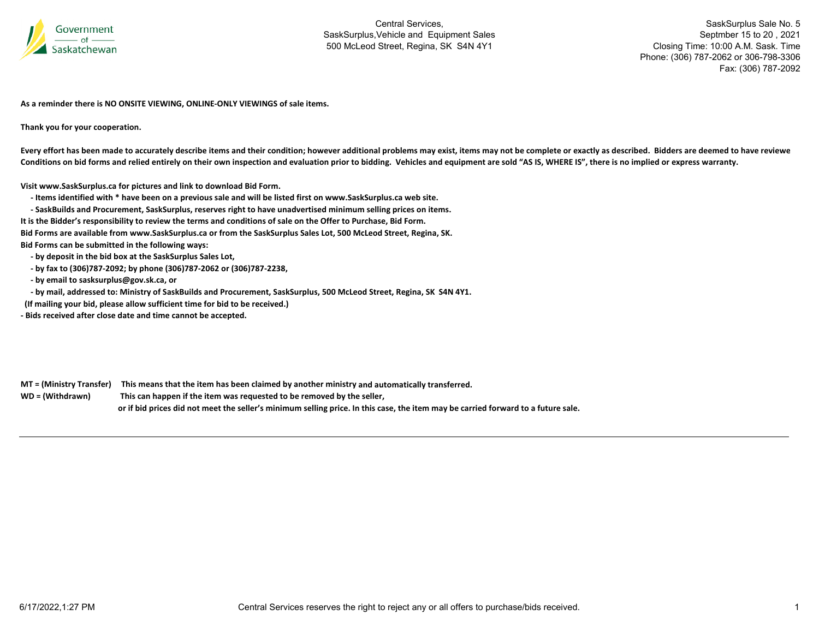

SaskSurplus Sale No. 5 Septmber 15 to 20 , 2021 Closing Time: 10:00 A.M. Sask. Time Phone: (306) 787-2062 or 306-798-3306 Fax: (306) 787-2092

**As a reminder there is NO ONSITE VIEWING, ONLINE‐ONLY VIEWINGS of sale items.**

**Thank you for your cooperation.**

Every effort has been made to accurately describe items and their condition; however additional problems may exist, items may not be complete or exactly as described. Bidders are deemed to have reviewe Conditions on bid forms and relied entirely on their own inspection and evaluation prior to bidding. Vehicles and equipment are sold "AS IS, WHERE IS", there is no implied or express warranty.

**Visit www.SaskSurplus.ca for pictures and link to download Bid Form.**

- Items identified with \* have been on a previous sale and will be listed first on www.SaskSurplus.ca web site.

- SaskBuilds and Procurement, SaskSurplus, reserves right to have unadvertised minimum selling prices on items. It is the Bidder's responsibility to review the terms and conditions of sale on the Offer to Purchase, Bid Form. Bid Forms are available from www.SaskSurplus.ca or from the SaskSurplus Sales Lot, 500 McLeod Street, Regina, SK. **Bid Forms can be submitted in the following ways:**

 **‐ by deposit in the bid box at the SaskSurplus Sales Lot,**

 **‐ by fax to (306)787‐2092; by phone (306)787‐2062 or (306)787‐2238,**

 **‐ by email to sasksurplus@gov.sk.ca, or**

- by mail, addressed to: Ministry of SaskBuilds and Procurement, SaskSurplus, 500 McLeod Street, Regina, SK S4N 4Y1.

**(If mailing your bid, please allow sufficient time for bid to be received.)**

**‐ Bids received after close date and time cannot be accepted.**

MT = (Ministry Transfer) This means that the item has been claimed by another ministry and automatically transferred. WD = (Withdrawn) **<sup>=</sup> (Withdrawn) This can happen if the item was requested to be removed by the seller,** or if bid prices did not meet the seller's minimum selling price. In this case, the item may be carried forward to a future sale.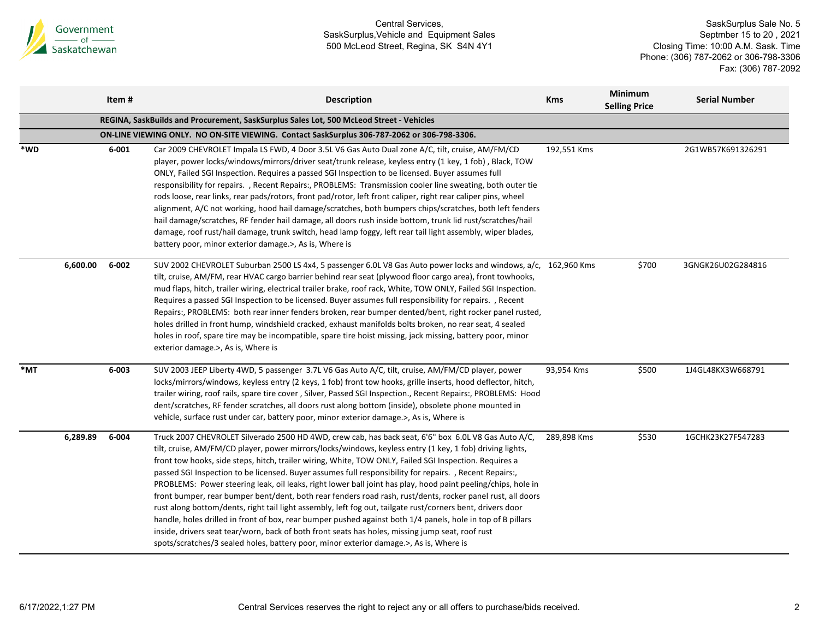

|     |          | Item #    | <b>Description</b>                                                                                                                                                                                                                                                                                                                                                                                                                                                                                                                                                                                                                                                                                                                                                                                                                                                                                                                                                                                                                                                                           | <b>Kms</b>  | <b>Minimum</b><br><b>Selling Price</b> | <b>Serial Number</b> |
|-----|----------|-----------|----------------------------------------------------------------------------------------------------------------------------------------------------------------------------------------------------------------------------------------------------------------------------------------------------------------------------------------------------------------------------------------------------------------------------------------------------------------------------------------------------------------------------------------------------------------------------------------------------------------------------------------------------------------------------------------------------------------------------------------------------------------------------------------------------------------------------------------------------------------------------------------------------------------------------------------------------------------------------------------------------------------------------------------------------------------------------------------------|-------------|----------------------------------------|----------------------|
|     |          |           | REGINA, SaskBuilds and Procurement, SaskSurplus Sales Lot, 500 McLeod Street - Vehicles                                                                                                                                                                                                                                                                                                                                                                                                                                                                                                                                                                                                                                                                                                                                                                                                                                                                                                                                                                                                      |             |                                        |                      |
|     |          |           | ON-LINE VIEWING ONLY. NO ON-SITE VIEWING. Contact SaskSurplus 306-787-2062 or 306-798-3306.                                                                                                                                                                                                                                                                                                                                                                                                                                                                                                                                                                                                                                                                                                                                                                                                                                                                                                                                                                                                  |             |                                        |                      |
| *WD |          | 6-001     | Car 2009 CHEVROLET Impala LS FWD, 4 Door 3.5L V6 Gas Auto Dual zone A/C, tilt, cruise, AM/FM/CD<br>player, power locks/windows/mirrors/driver seat/trunk release, keyless entry (1 key, 1 fob), Black, TOW<br>ONLY, Failed SGI Inspection. Requires a passed SGI Inspection to be licensed. Buyer assumes full<br>responsibility for repairs., Recent Repairs:, PROBLEMS: Transmission cooler line sweating, both outer tie<br>rods loose, rear links, rear pads/rotors, front pad/rotor, left front caliper, right rear caliper pins, wheel<br>alignment, A/C not working, hood hail damage/scratches, both bumpers chips/scratches, both left fenders<br>hail damage/scratches, RF fender hail damage, all doors rush inside bottom, trunk lid rust/scratches/hail<br>damage, roof rust/hail damage, trunk switch, head lamp foggy, left rear tail light assembly, wiper blades,<br>battery poor, minor exterior damage.>, As is, Where is                                                                                                                                                 | 192,551 Kms |                                        | 2G1WB57K691326291    |
|     | 6,600.00 | 6-002     | SUV 2002 CHEVROLET Suburban 2500 LS 4x4, 5 passenger 6.0L V8 Gas Auto power locks and windows, a/c, 162,960 Kms<br>tilt, cruise, AM/FM, rear HVAC cargo barrier behind rear seat (plywood floor cargo area), front towhooks,<br>mud flaps, hitch, trailer wiring, electrical trailer brake, roof rack, White, TOW ONLY, Failed SGI Inspection.<br>Requires a passed SGI Inspection to be licensed. Buyer assumes full responsibility for repairs. , Recent<br>Repairs:, PROBLEMS: both rear inner fenders broken, rear bumper dented/bent, right rocker panel rusted,<br>holes drilled in front hump, windshield cracked, exhaust manifolds bolts broken, no rear seat, 4 sealed<br>holes in roof, spare tire may be incompatible, spare tire hoist missing, jack missing, battery poor, minor<br>exterior damage.>, As is, Where is                                                                                                                                                                                                                                                         |             | \$700                                  | 3GNGK26U02G284816    |
| *MT |          | $6 - 003$ | SUV 2003 JEEP Liberty 4WD, 5 passenger 3.7L V6 Gas Auto A/C, tilt, cruise, AM/FM/CD player, power<br>locks/mirrors/windows, keyless entry (2 keys, 1 fob) front tow hooks, grille inserts, hood deflector, hitch,<br>trailer wiring, roof rails, spare tire cover, Silver, Passed SGI Inspection., Recent Repairs:, PROBLEMS: Hood<br>dent/scratches, RF fender scratches, all doors rust along bottom (inside), obsolete phone mounted in<br>vehicle, surface rust under car, battery poor, minor exterior damage.>, As is, Where is                                                                                                                                                                                                                                                                                                                                                                                                                                                                                                                                                        | 93,954 Kms  | \$500                                  | 1J4GL48KX3W668791    |
|     | 6,289.89 | 6-004     | Truck 2007 CHEVROLET Silverado 2500 HD 4WD, crew cab, has back seat, 6'6" box 6.0L V8 Gas Auto A/C,<br>tilt, cruise, AM/FM/CD player, power mirrors/locks/windows, keyless entry (1 key, 1 fob) driving lights,<br>front tow hooks, side steps, hitch, trailer wiring, White, TOW ONLY, Failed SGI Inspection. Requires a<br>passed SGI Inspection to be licensed. Buyer assumes full responsibility for repairs., Recent Repairs:,<br>PROBLEMS: Power steering leak, oil leaks, right lower ball joint has play, hood paint peeling/chips, hole in<br>front bumper, rear bumper bent/dent, both rear fenders road rash, rust/dents, rocker panel rust, all doors<br>rust along bottom/dents, right tail light assembly, left fog out, tailgate rust/corners bent, drivers door<br>handle, holes drilled in front of box, rear bumper pushed against both 1/4 panels, hole in top of B pillars<br>inside, drivers seat tear/worn, back of both front seats has holes, missing jump seat, roof rust<br>spots/scratches/3 sealed holes, battery poor, minor exterior damage.>, As is, Where is | 289,898 Kms | \$530                                  | 1GCHK23K27F547283    |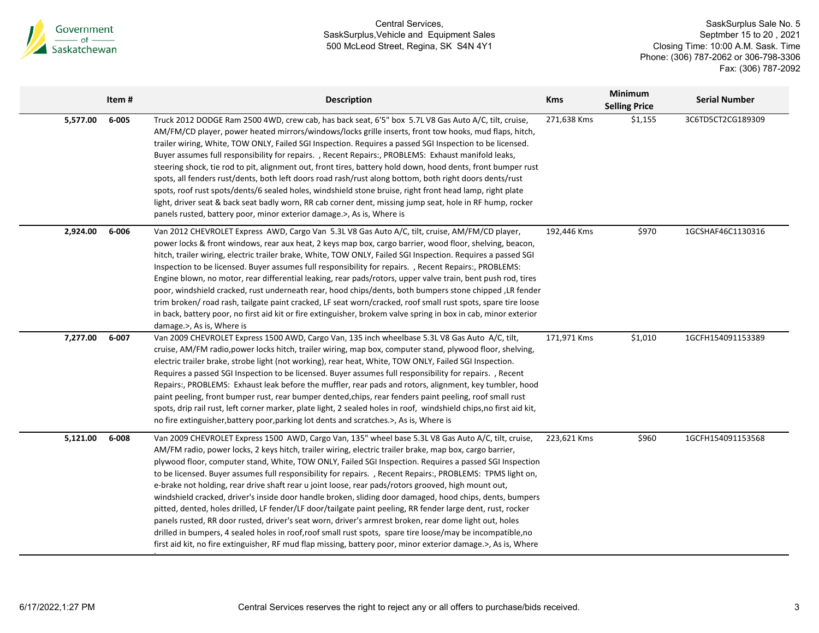

|          | Item # | <b>Description</b>                                                                                                                                                                                                                                                                                                                                                                                                                                                                                                                                                                                                                                                                                                                                                                                                                                                                                                                                                                                                                                                                                                  | <b>Kms</b>  | <b>Minimum</b><br><b>Selling Price</b> | <b>Serial Number</b> |
|----------|--------|---------------------------------------------------------------------------------------------------------------------------------------------------------------------------------------------------------------------------------------------------------------------------------------------------------------------------------------------------------------------------------------------------------------------------------------------------------------------------------------------------------------------------------------------------------------------------------------------------------------------------------------------------------------------------------------------------------------------------------------------------------------------------------------------------------------------------------------------------------------------------------------------------------------------------------------------------------------------------------------------------------------------------------------------------------------------------------------------------------------------|-------------|----------------------------------------|----------------------|
| 5,577.00 | 6-005  | Truck 2012 DODGE Ram 2500 4WD, crew cab, has back seat, 6'5" box 5.7L V8 Gas Auto A/C, tilt, cruise,<br>AM/FM/CD player, power heated mirrors/windows/locks grille inserts, front tow hooks, mud flaps, hitch,<br>trailer wiring, White, TOW ONLY, Failed SGI Inspection. Requires a passed SGI Inspection to be licensed.<br>Buyer assumes full responsibility for repairs. , Recent Repairs:, PROBLEMS: Exhaust manifold leaks,<br>steering shock, tie rod to pit, alignment out, front tires, battery hold down, hood dents, front bumper rust<br>spots, all fenders rust/dents, both left doors road rash/rust along bottom, both right doors dents/rust<br>spots, roof rust spots/dents/6 sealed holes, windshield stone bruise, right front head lamp, right plate<br>light, driver seat & back seat badly worn, RR cab corner dent, missing jump seat, hole in RF hump, rocker<br>panels rusted, battery poor, minor exterior damage.>, As is, Where is                                                                                                                                                      | 271,638 Kms | \$1,155                                | 3C6TD5CT2CG189309    |
| 2,924.00 | 6-006  | Van 2012 CHEVROLET Express AWD, Cargo Van 5.3L V8 Gas Auto A/C, tilt, cruise, AM/FM/CD player,<br>power locks & front windows, rear aux heat, 2 keys map box, cargo barrier, wood floor, shelving, beacon,<br>hitch, trailer wiring, electric trailer brake, White, TOW ONLY, Failed SGI Inspection. Requires a passed SGI<br>Inspection to be licensed. Buyer assumes full responsibility for repairs. , Recent Repairs:, PROBLEMS:<br>Engine blown, no motor, rear differential leaking, rear pads/rotors, upper valve train, bent push rod, tires<br>poor, windshield cracked, rust underneath rear, hood chips/dents, both bumpers stone chipped, LR fender<br>trim broken/ road rash, tailgate paint cracked, LF seat worn/cracked, roof small rust spots, spare tire loose<br>in back, battery poor, no first aid kit or fire extinguisher, brokem valve spring in box in cab, minor exterior<br>damage.>, As is, Where is                                                                                                                                                                                    | 192,446 Kms | \$970                                  | 1GCSHAF46C1130316    |
| 7,277.00 | 6-007  | Van 2009 CHEVROLET Express 1500 AWD, Cargo Van, 135 inch wheelbase 5.3L V8 Gas Auto A/C, tilt,<br>cruise, AM/FM radio, power locks hitch, trailer wiring, map box, computer stand, plywood floor, shelving,<br>electric trailer brake, strobe light (not working), rear heat, White, TOW ONLY, Failed SGI Inspection.<br>Requires a passed SGI Inspection to be licensed. Buyer assumes full responsibility for repairs. , Recent<br>Repairs:, PROBLEMS: Exhaust leak before the muffler, rear pads and rotors, alignment, key tumbler, hood<br>paint peeling, front bumper rust, rear bumper dented, chips, rear fenders paint peeling, roof small rust<br>spots, drip rail rust, left corner marker, plate light, 2 sealed holes in roof, windshield chips, no first aid kit,<br>no fire extinguisher, battery poor, parking lot dents and scratches.>, As is, Where is                                                                                                                                                                                                                                           | 171,971 Kms | \$1,010                                | 1GCFH154091153389    |
| 5,121.00 | 6-008  | Van 2009 CHEVROLET Express 1500 AWD, Cargo Van, 135" wheel base 5.3L V8 Gas Auto A/C, tilt, cruise,<br>AM/FM radio, power locks, 2 keys hitch, trailer wiring, electric trailer brake, map box, cargo barrier,<br>plywood floor, computer stand, White, TOW ONLY, Failed SGI Inspection. Requires a passed SGI Inspection<br>to be licensed. Buyer assumes full responsibility for repairs. , Recent Repairs:, PROBLEMS: TPMS light on,<br>e-brake not holding, rear drive shaft rear u joint loose, rear pads/rotors grooved, high mount out,<br>windshield cracked, driver's inside door handle broken, sliding door damaged, hood chips, dents, bumpers<br>pitted, dented, holes drilled, LF fender/LF door/tailgate paint peeling, RR fender large dent, rust, rocker<br>panels rusted, RR door rusted, driver's seat worn, driver's armrest broken, rear dome light out, holes<br>drilled in bumpers, 4 sealed holes in roof, roof small rust spots, spare tire loose/may be incompatible, no<br>first aid kit, no fire extinguisher, RF mud flap missing, battery poor, minor exterior damage.>, As is, Where | 223,621 Kms | \$960                                  | 1GCFH154091153568    |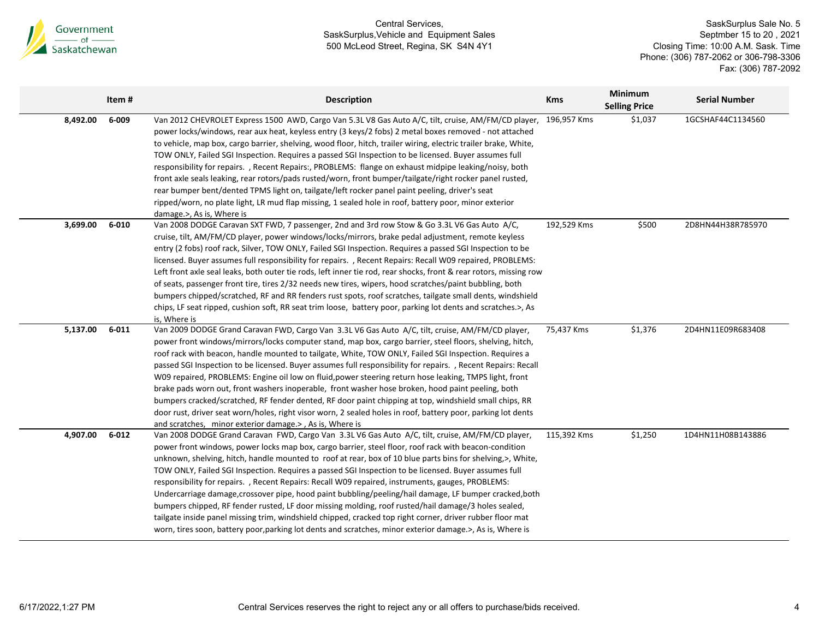

|          | Item #    | <b>Description</b>                                                                                                                                                                                                                                                                                                                                                                                                                                                                                                                                                                                                                                                                                                                                                                                                                                                                                                                                                              | <b>Kms</b>  | <b>Minimum</b><br><b>Selling Price</b> | <b>Serial Number</b> |
|----------|-----------|---------------------------------------------------------------------------------------------------------------------------------------------------------------------------------------------------------------------------------------------------------------------------------------------------------------------------------------------------------------------------------------------------------------------------------------------------------------------------------------------------------------------------------------------------------------------------------------------------------------------------------------------------------------------------------------------------------------------------------------------------------------------------------------------------------------------------------------------------------------------------------------------------------------------------------------------------------------------------------|-------------|----------------------------------------|----------------------|
| 8,492.00 | 6-009     | Van 2012 CHEVROLET Express 1500 AWD, Cargo Van 5.3L V8 Gas Auto A/C, tilt, cruise, AM/FM/CD player,<br>power locks/windows, rear aux heat, keyless entry (3 keys/2 fobs) 2 metal boxes removed - not attached<br>to vehicle, map box, cargo barrier, shelving, wood floor, hitch, trailer wiring, electric trailer brake, White,<br>TOW ONLY, Failed SGI Inspection. Requires a passed SGI Inspection to be licensed. Buyer assumes full<br>responsibility for repairs., Recent Repairs:, PROBLEMS: flange on exhaust midpipe leaking/noisy, both<br>front axle seals leaking, rear rotors/pads rusted/worn, front bumper/tailgate/right rocker panel rusted,<br>rear bumper bent/dented TPMS light on, tailgate/left rocker panel paint peeling, driver's seat<br>ripped/worn, no plate light, LR mud flap missing, 1 sealed hole in roof, battery poor, minor exterior<br>damage.>, As is, Where is                                                                           | 196,957 Kms | \$1,037                                | 1GCSHAF44C1134560    |
| 3,699.00 | $6 - 010$ | Van 2008 DODGE Caravan SXT FWD, 7 passenger, 2nd and 3rd row Stow & Go 3.3L V6 Gas Auto A/C,<br>cruise, tilt, AM/FM/CD player, power windows/locks/mirrors, brake pedal adjustment, remote keyless<br>entry (2 fobs) roof rack, Silver, TOW ONLY, Failed SGI Inspection. Requires a passed SGI Inspection to be<br>licensed. Buyer assumes full responsibility for repairs. , Recent Repairs: Recall W09 repaired, PROBLEMS:<br>Left front axle seal leaks, both outer tie rods, left inner tie rod, rear shocks, front & rear rotors, missing row<br>of seats, passenger front tire, tires 2/32 needs new tires, wipers, hood scratches/paint bubbling, both<br>bumpers chipped/scratched, RF and RR fenders rust spots, roof scratches, tailgate small dents, windshield<br>chips, LF seat ripped, cushion soft, RR seat trim loose, battery poor, parking lot dents and scratches.>, As<br>is, Where is                                                                      | 192,529 Kms | \$500                                  | 2D8HN44H38R785970    |
| 5,137.00 | $6 - 011$ | Van 2009 DODGE Grand Caravan FWD, Cargo Van 3.3L V6 Gas Auto A/C, tilt, cruise, AM/FM/CD player,<br>power front windows/mirrors/locks computer stand, map box, cargo barrier, steel floors, shelving, hitch,<br>roof rack with beacon, handle mounted to tailgate, White, TOW ONLY, Failed SGI Inspection. Requires a<br>passed SGI Inspection to be licensed. Buyer assumes full responsibility for repairs., Recent Repairs: Recall<br>W09 repaired, PROBLEMS: Engine oil low on fluid, power steering return hose leaking, TMPS light, front<br>brake pads worn out, front washers inoperable, front washer hose broken, hood paint peeling, both<br>bumpers cracked/scratched, RF fender dented, RF door paint chipping at top, windshield small chips, RR<br>door rust, driver seat worn/holes, right visor worn, 2 sealed holes in roof, battery poor, parking lot dents<br>and scratches, minor exterior damage.>, As is, Where is                                       | 75,437 Kms  | \$1,376                                | 2D4HN11E09R683408    |
| 4,907.00 | $6 - 012$ | Van 2008 DODGE Grand Caravan FWD, Cargo Van 3.3L V6 Gas Auto A/C, tilt, cruise, AM/FM/CD player,<br>power front windows, power locks map box, cargo barrier, steel floor, roof rack with beacon-condition<br>unknown, shelving, hitch, handle mounted to roof at rear, box of 10 blue parts bins for shelving, >, White,<br>TOW ONLY, Failed SGI Inspection. Requires a passed SGI Inspection to be licensed. Buyer assumes full<br>responsibility for repairs., Recent Repairs: Recall W09 repaired, instruments, gauges, PROBLEMS:<br>Undercarriage damage, crossover pipe, hood paint bubbling/peeling/hail damage, LF bumper cracked, both<br>bumpers chipped, RF fender rusted, LF door missing molding, roof rusted/hail damage/3 holes sealed,<br>tailgate inside panel missing trim, windshield chipped, cracked top right corner, driver rubber floor mat<br>worn, tires soon, battery poor, parking lot dents and scratches, minor exterior damage.>, As is, Where is | 115,392 Kms | \$1,250                                | 1D4HN11H08B143886    |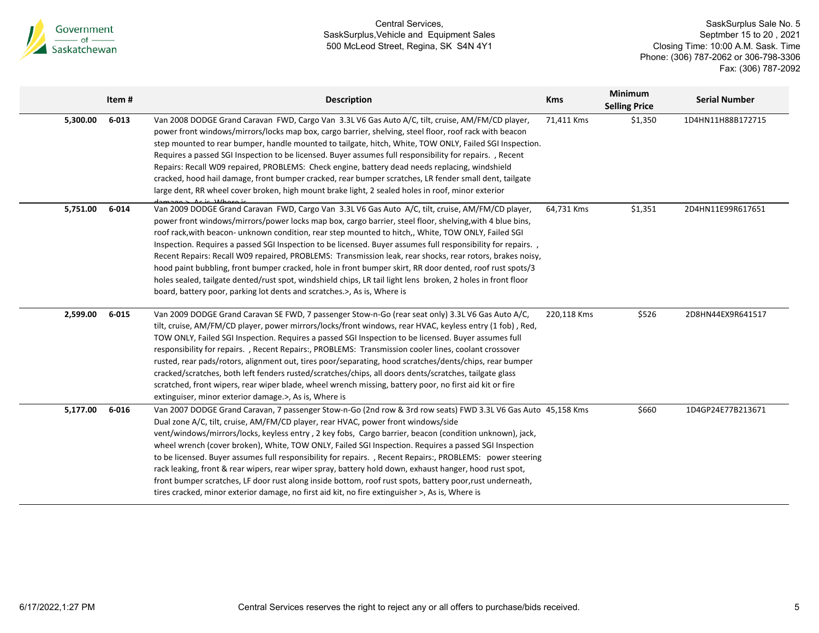

|          | Item#     | <b>Description</b>                                                                                                                                                                                                                                                                                                                                                                                                                                                                                                                                                                                                                                                                                                                                                                                                                                             | <b>Kms</b>  | <b>Minimum</b><br><b>Selling Price</b> | <b>Serial Number</b> |
|----------|-----------|----------------------------------------------------------------------------------------------------------------------------------------------------------------------------------------------------------------------------------------------------------------------------------------------------------------------------------------------------------------------------------------------------------------------------------------------------------------------------------------------------------------------------------------------------------------------------------------------------------------------------------------------------------------------------------------------------------------------------------------------------------------------------------------------------------------------------------------------------------------|-------------|----------------------------------------|----------------------|
| 5,300.00 | $6 - 013$ | Van 2008 DODGE Grand Caravan FWD, Cargo Van 3.3L V6 Gas Auto A/C, tilt, cruise, AM/FM/CD player,<br>power front windows/mirrors/locks map box, cargo barrier, shelving, steel floor, roof rack with beacon<br>step mounted to rear bumper, handle mounted to tailgate, hitch, White, TOW ONLY, Failed SGI Inspection.<br>Requires a passed SGI Inspection to be licensed. Buyer assumes full responsibility for repairs. , Recent<br>Repairs: Recall W09 repaired, PROBLEMS: Check engine, battery dead needs replacing, windshield<br>cracked, hood hail damage, front bumper cracked, rear bumper scratches, LR fender small dent, tailgate<br>large dent, RR wheel cover broken, high mount brake light, 2 sealed holes in roof, minor exterior<br>express and 11/horaic                                                                                    | 71,411 Kms  | \$1,350                                | 1D4HN11H88B172715    |
| 5,751.00 | 6-014     | Van 2009 DODGE Grand Caravan FWD, Cargo Van 3.3L V6 Gas Auto A/C, tilt, cruise, AM/FM/CD player,<br>power front windows/mirrors/power locks map box, cargo barrier, steel floor, shelving, with 4 blue bins,<br>roof rack, with beacon-unknown condition, rear step mounted to hitch,, White, TOW ONLY, Failed SGI<br>Inspection. Requires a passed SGI Inspection to be licensed. Buyer assumes full responsibility for repairs. ,<br>Recent Repairs: Recall W09 repaired, PROBLEMS: Transmission leak, rear shocks, rear rotors, brakes noisy,<br>hood paint bubbling, front bumper cracked, hole in front bumper skirt, RR door dented, roof rust spots/3<br>holes sealed, tailgate dented/rust spot, windshield chips, LR tail light lens broken, 2 holes in front floor<br>board, battery poor, parking lot dents and scratches.>, As is, Where is        | 64,731 Kms  | \$1,351                                | 2D4HN11E99R617651    |
| 2,599.00 | $6 - 015$ | Van 2009 DODGE Grand Caravan SE FWD, 7 passenger Stow-n-Go (rear seat only) 3.3L V6 Gas Auto A/C,<br>tilt, cruise, AM/FM/CD player, power mirrors/locks/front windows, rear HVAC, keyless entry (1 fob), Red,<br>TOW ONLY, Failed SGI Inspection. Requires a passed SGI Inspection to be licensed. Buyer assumes full<br>responsibility for repairs., Recent Repairs:, PROBLEMS: Transmission cooler lines, coolant crossover<br>rusted, rear pads/rotors, alignment out, tires poor/separating, hood scratches/dents/chips, rear bumper<br>cracked/scratches, both left fenders rusted/scratches/chips, all doors dents/scratches, tailgate glass<br>scratched, front wipers, rear wiper blade, wheel wrench missing, battery poor, no first aid kit or fire<br>extinguiser, minor exterior damage.>, As is, Where is                                         | 220,118 Kms | \$526                                  | 2D8HN44EX9R641517    |
| 5,177.00 | 6-016     | Van 2007 DODGE Grand Caravan, 7 passenger Stow-n-Go (2nd row & 3rd row seats) FWD 3.3L V6 Gas Auto 45,158 Kms<br>Dual zone A/C, tilt, cruise, AM/FM/CD player, rear HVAC, power front windows/side<br>vent/windows/mirrors/locks, keyless entry, 2 key fobs, Cargo barrier, beacon (condition unknown), jack,<br>wheel wrench (cover broken), White, TOW ONLY, Failed SGI Inspection. Requires a passed SGI Inspection<br>to be licensed. Buyer assumes full responsibility for repairs., Recent Repairs:, PROBLEMS: power steering<br>rack leaking, front & rear wipers, rear wiper spray, battery hold down, exhaust hanger, hood rust spot,<br>front bumper scratches, LF door rust along inside bottom, roof rust spots, battery poor, rust underneath,<br>tires cracked, minor exterior damage, no first aid kit, no fire extinguisher >, As is, Where is |             | \$660                                  | 1D4GP24E77B213671    |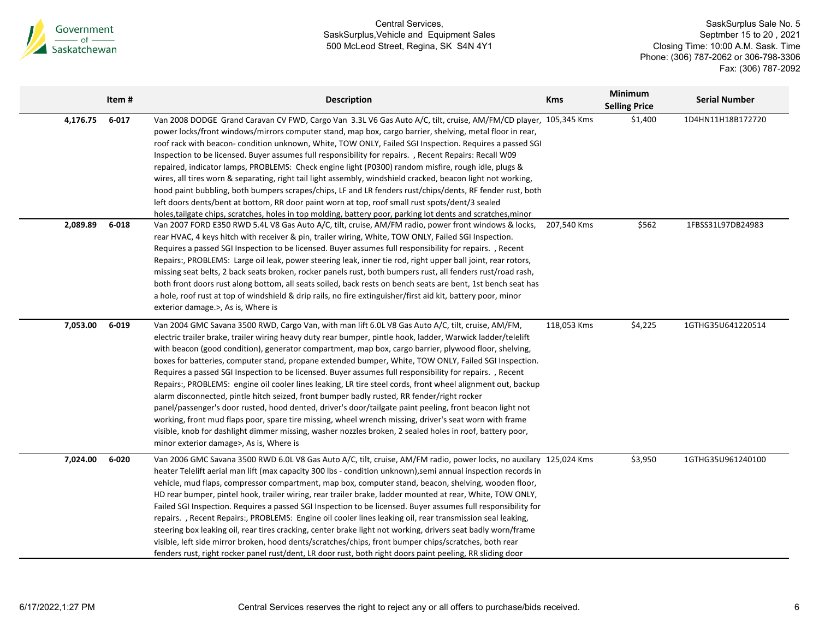

|          | Item #    | <b>Description</b>                                                                                                                                                                                                                                                                                                                                                                                                                                                                                                                                                                                                                                                                                                                                                                                                                                                                                                                                                                                                                                                                                                                       | <b>Kms</b>  | <b>Minimum</b><br><b>Selling Price</b> | <b>Serial Number</b> |
|----------|-----------|------------------------------------------------------------------------------------------------------------------------------------------------------------------------------------------------------------------------------------------------------------------------------------------------------------------------------------------------------------------------------------------------------------------------------------------------------------------------------------------------------------------------------------------------------------------------------------------------------------------------------------------------------------------------------------------------------------------------------------------------------------------------------------------------------------------------------------------------------------------------------------------------------------------------------------------------------------------------------------------------------------------------------------------------------------------------------------------------------------------------------------------|-------------|----------------------------------------|----------------------|
| 4,176.75 | $6 - 017$ | Van 2008 DODGE Grand Caravan CV FWD, Cargo Van 3.3L V6 Gas Auto A/C, tilt, cruise, AM/FM/CD player, 105,345 Kms<br>power locks/front windows/mirrors computer stand, map box, cargo barrier, shelving, metal floor in rear,<br>roof rack with beacon- condition unknown, White, TOW ONLY, Failed SGI Inspection. Requires a passed SGI<br>Inspection to be licensed. Buyer assumes full responsibility for repairs. , Recent Repairs: Recall W09<br>repaired, indicator lamps, PROBLEMS: Check engine light (P0300) random misfire, rough idle, plugs &<br>wires, all tires worn & separating, right tail light assembly, windshield cracked, beacon light not working,<br>hood paint bubbling, both bumpers scrapes/chips, LF and LR fenders rust/chips/dents, RF fender rust, both<br>left doors dents/bent at bottom, RR door paint worn at top, roof small rust spots/dent/3 sealed<br>holes, tailgate chips, scratches, holes in top molding, battery poor, parking lot dents and scratches, minor                                                                                                                                  |             | \$1,400                                | 1D4HN11H18B172720    |
| 2,089.89 | $6 - 018$ | Van 2007 FORD E350 RWD 5.4L V8 Gas Auto A/C, tilt, cruise, AM/FM radio, power front windows & locks,<br>rear HVAC, 4 keys hitch with receiver & pin, trailer wiring, White, TOW ONLY, Failed SGI Inspection.<br>Requires a passed SGI Inspection to be licensed. Buyer assumes full responsibility for repairs. , Recent<br>Repairs:, PROBLEMS: Large oil leak, power steering leak, inner tie rod, right upper ball joint, rear rotors,<br>missing seat belts, 2 back seats broken, rocker panels rust, both bumpers rust, all fenders rust/road rash,<br>both front doors rust along bottom, all seats soiled, back rests on bench seats are bent, 1st bench seat has<br>a hole, roof rust at top of windshield & drip rails, no fire extinguisher/first aid kit, battery poor, minor<br>exterior damage.>, As is, Where is                                                                                                                                                                                                                                                                                                            | 207,540 Kms | \$562                                  | 1FBSS31L97DB24983    |
| 7,053.00 | 6-019     | Van 2004 GMC Savana 3500 RWD, Cargo Van, with man lift 6.0L V8 Gas Auto A/C, tilt, cruise, AM/FM,<br>electric trailer brake, trailer wiring heavy duty rear bumper, pintle hook, ladder, Warwick ladder/telelift<br>with beacon (good condition), generator compartment, map box, cargo barrier, plywood floor, shelving,<br>boxes for batteries, computer stand, propane extended bumper, White, TOW ONLY, Failed SGI Inspection.<br>Requires a passed SGI Inspection to be licensed. Buyer assumes full responsibility for repairs. , Recent<br>Repairs:, PROBLEMS: engine oil cooler lines leaking, LR tire steel cords, front wheel alignment out, backup<br>alarm disconnected, pintle hitch seized, front bumper badly rusted, RR fender/right rocker<br>panel/passenger's door rusted, hood dented, driver's door/tailgate paint peeling, front beacon light not<br>working, front mud flaps poor, spare tire missing, wheel wrench missing, driver's seat worn with frame<br>visible, knob for dashlight dimmer missing, washer nozzles broken, 2 sealed holes in roof, battery poor,<br>minor exterior damage>, As is, Where is | 118,053 Kms | \$4,225                                | 1GTHG35U641220514    |
| 7,024.00 | 6-020     | Van 2006 GMC Savana 3500 RWD 6.0L V8 Gas Auto A/C, tilt, cruise, AM/FM radio, power locks, no auxilary 125,024 Kms<br>heater Telelift aerial man lift (max capacity 300 lbs - condition unknown), semi annual inspection records in<br>vehicle, mud flaps, compressor compartment, map box, computer stand, beacon, shelving, wooden floor,<br>HD rear bumper, pintel hook, trailer wiring, rear trailer brake, ladder mounted at rear, White, TOW ONLY,<br>Failed SGI Inspection. Requires a passed SGI Inspection to be licensed. Buyer assumes full responsibility for<br>repairs., Recent Repairs:, PROBLEMS: Engine oil cooler lines leaking oil, rear transmission seal leaking,<br>steering box leaking oil, rear tires cracking, center brake light not working, drivers seat badly worn/frame<br>visible, left side mirror broken, hood dents/scratches/chips, front bumper chips/scratches, both rear<br>fenders rust, right rocker panel rust/dent, LR door rust, both right doors paint peeling, RR sliding door                                                                                                             |             | \$3,950                                | 1GTHG35U961240100    |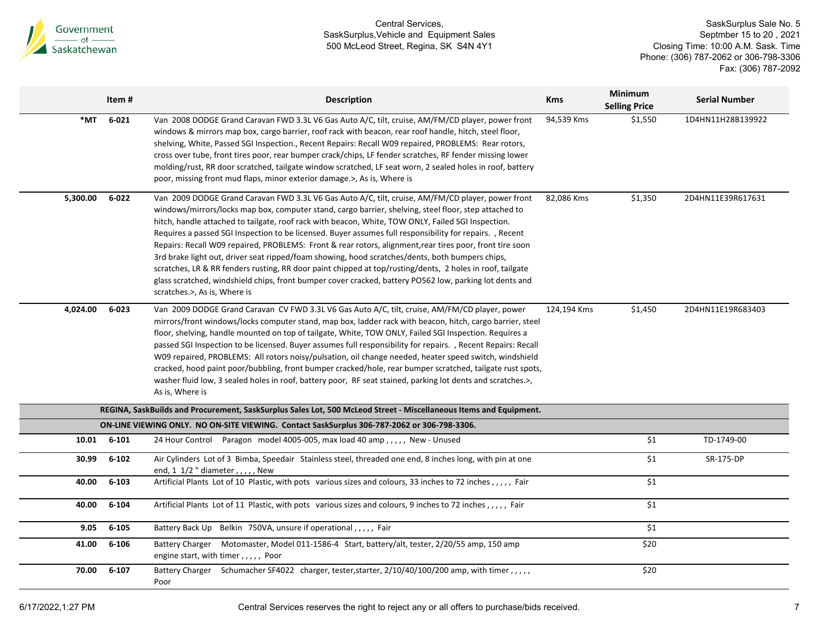

|          | Item#     | <b>Description</b>                                                                                                                                                                                                                                                                                                                                                                                                                                                                                                                                                                                                                                                                                                                                                                                                                                                                                  | <b>Kms</b>  | <b>Minimum</b><br><b>Selling Price</b> | <b>Serial Number</b> |
|----------|-----------|-----------------------------------------------------------------------------------------------------------------------------------------------------------------------------------------------------------------------------------------------------------------------------------------------------------------------------------------------------------------------------------------------------------------------------------------------------------------------------------------------------------------------------------------------------------------------------------------------------------------------------------------------------------------------------------------------------------------------------------------------------------------------------------------------------------------------------------------------------------------------------------------------------|-------------|----------------------------------------|----------------------|
| *MT      | $6 - 021$ | Van 2008 DODGE Grand Caravan FWD 3.3L V6 Gas Auto A/C, tilt, cruise, AM/FM/CD player, power front<br>windows & mirrors map box, cargo barrier, roof rack with beacon, rear roof handle, hitch, steel floor,<br>shelving, White, Passed SGI Inspection., Recent Repairs: Recall W09 repaired, PROBLEMS: Rear rotors,<br>cross over tube, front tires poor, rear bumper crack/chips, LF fender scratches, RF fender missing lower<br>molding/rust, RR door scratched, tailgate window scratched, LF seat worn, 2 sealed holes in roof, battery<br>poor, missing front mud flaps, minor exterior damage.>, As is, Where is                                                                                                                                                                                                                                                                             | 94,539 Kms  | \$1,550                                | 1D4HN11H28B139922    |
| 5,300.00 | $6 - 022$ | Van 2009 DODGE Grand Caravan FWD 3.3L V6 Gas Auto A/C, tilt, cruise, AM/FM/CD player, power front<br>windows/mirrors/locks map box, computer stand, cargo barrier, shelving, steel floor, step attached to<br>hitch, handle attached to tailgate, roof rack with beacon, White, TOW ONLY, Failed SGI Inspection.<br>Requires a passed SGI Inspection to be licensed. Buyer assumes full responsibility for repairs. , Recent<br>Repairs: Recall W09 repaired, PROBLEMS: Front & rear rotors, alignment, rear tires poor, front tire soon<br>3rd brake light out, driver seat ripped/foam showing, hood scratches/dents, both bumpers chips,<br>scratches, LR & RR fenders rusting, RR door paint chipped at top/rusting/dents, 2 holes in roof, tailgate<br>glass scratched, windshield chips, front bumper cover cracked, battery PO562 low, parking lot dents and<br>scratches.>, As is, Where is | 82,086 Kms  | \$1,350                                | 2D4HN11E39R617631    |
| 4,024.00 | $6 - 023$ | Van 2009 DODGE Grand Caravan CV FWD 3.3L V6 Gas Auto A/C, tilt, cruise, AM/FM/CD player, power<br>mirrors/front windows/locks computer stand, map box, ladder rack with beacon, hitch, cargo barrier, steel<br>floor, shelving, handle mounted on top of tailgate, White, TOW ONLY, Failed SGI Inspection. Requires a<br>passed SGI Inspection to be licensed. Buyer assumes full responsibility for repairs. , Recent Repairs: Recall<br>W09 repaired, PROBLEMS: All rotors noisy/pulsation, oil change needed, heater speed switch, windshield<br>cracked, hood paint poor/bubbling, front bumper cracked/hole, rear bumper scratched, tailgate rust spots,<br>washer fluid low, 3 sealed holes in roof, battery poor, RF seat stained, parking lot dents and scratches.>,<br>As is, Where is                                                                                                     | 124,194 Kms | \$1,450                                | 2D4HN11E19R683403    |
|          |           | REGINA, SaskBuilds and Procurement, SaskSurplus Sales Lot, 500 McLeod Street - Miscellaneous Items and Equipment.                                                                                                                                                                                                                                                                                                                                                                                                                                                                                                                                                                                                                                                                                                                                                                                   |             |                                        |                      |
|          |           | ON-LINE VIEWING ONLY. NO ON-SITE VIEWING. Contact SaskSurplus 306-787-2062 or 306-798-3306.                                                                                                                                                                                                                                                                                                                                                                                                                                                                                                                                                                                                                                                                                                                                                                                                         |             |                                        |                      |
| 10.01    | $6 - 101$ | 24 Hour Control Paragon model 4005-005, max load 40 amp,,,,, New - Unused                                                                                                                                                                                                                                                                                                                                                                                                                                                                                                                                                                                                                                                                                                                                                                                                                           |             | \$1                                    | TD-1749-00           |
| 30.99    | $6 - 102$ | Air Cylinders Lot of 3 Bimba, Speedair Stainless steel, threaded one end, 8 inches long, with pin at one<br>end, 1 1/2 " diameter , , , , , New                                                                                                                                                                                                                                                                                                                                                                                                                                                                                                                                                                                                                                                                                                                                                     |             | $\overline{\$1}$                       | SR-175-DP            |
| 40.00    | $6 - 103$ | Artificial Plants Lot of 10 Plastic, with pots various sizes and colours, 33 inches to 72 inches,,,,, Fair                                                                                                                                                                                                                                                                                                                                                                                                                                                                                                                                                                                                                                                                                                                                                                                          |             | \$1                                    |                      |
| 40.00    | $6 - 104$ | Artificial Plants Lot of 11 Plastic, with pots various sizes and colours, 9 inches to 72 inches , , , , , Fair                                                                                                                                                                                                                                                                                                                                                                                                                                                                                                                                                                                                                                                                                                                                                                                      |             | \$1                                    |                      |
| 9.05     | $6 - 105$ | Battery Back Up Belkin 750VA, unsure if operational,,,,, Fair                                                                                                                                                                                                                                                                                                                                                                                                                                                                                                                                                                                                                                                                                                                                                                                                                                       |             | \$1                                    |                      |
| 41.00    | 6-106     | Battery Charger Motomaster, Model 011-1586-4 Start, battery/alt, tester, 2/20/55 amp, 150 amp<br>engine start, with timer,,,,, Poor                                                                                                                                                                                                                                                                                                                                                                                                                                                                                                                                                                                                                                                                                                                                                                 |             | \$20                                   |                      |
| 70.00    | $6 - 107$ | Battery Charger Schumacher SF4022 charger, tester, starter, 2/10/40/100/200 amp, with timer,,,,,<br>Poor                                                                                                                                                                                                                                                                                                                                                                                                                                                                                                                                                                                                                                                                                                                                                                                            |             | \$20                                   |                      |
|          |           |                                                                                                                                                                                                                                                                                                                                                                                                                                                                                                                                                                                                                                                                                                                                                                                                                                                                                                     |             |                                        |                      |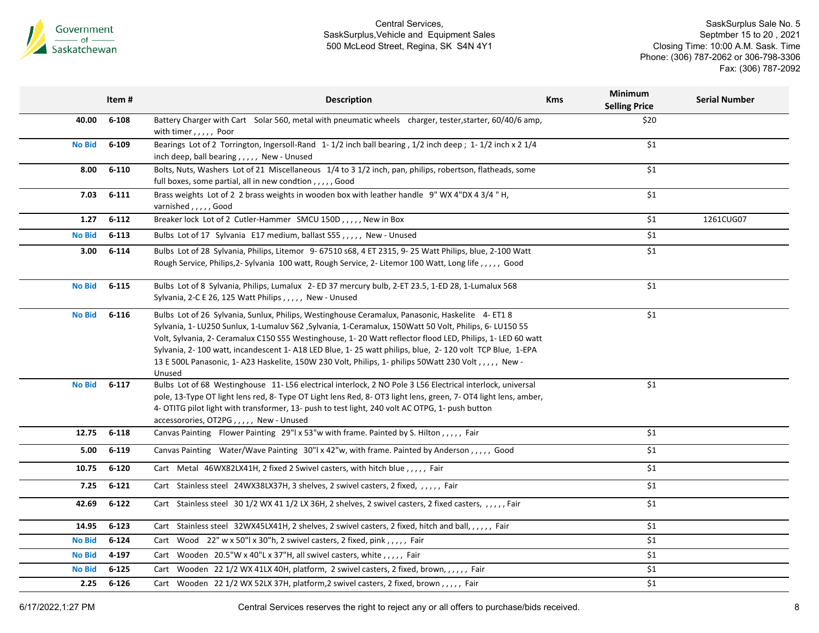

SaskSurplus Sale No. 5 Septmber 15 to 20 , 2021 Closing Time: 10:00 A.M. Sask. Time Phone: (306) 787-2062 or 306-798-3306 Fax: (306) 787-2092

|               | Item#     | <b>Description</b>                                                                                                                                                                                                                                                                                                                                                                                                                                                                                                                                 | <b>Kms</b> | <b>Minimum</b><br><b>Selling Price</b> | <b>Serial Number</b> |
|---------------|-----------|----------------------------------------------------------------------------------------------------------------------------------------------------------------------------------------------------------------------------------------------------------------------------------------------------------------------------------------------------------------------------------------------------------------------------------------------------------------------------------------------------------------------------------------------------|------------|----------------------------------------|----------------------|
| 40.00         | $6 - 108$ | Battery Charger with Cart Solar 560, metal with pneumatic wheels charger, tester, starter, 60/40/6 amp,<br>with timer,,,,, Poor                                                                                                                                                                                                                                                                                                                                                                                                                    |            | \$20                                   |                      |
| <b>No Bid</b> | 6-109     | Bearings Lot of 2 Torrington, Ingersoll-Rand 1-1/2 inch ball bearing, 1/2 inch deep; 1-1/2 inch x 2 1/4<br>inch deep, ball bearing,,,,, New - Unused                                                                                                                                                                                                                                                                                                                                                                                               |            | \$1                                    |                      |
| 8.00          | $6 - 110$ | Bolts, Nuts, Washers Lot of 21 Miscellaneous 1/4 to 3 1/2 inch, pan, philips, robertson, flatheads, some<br>full boxes, some partial, all in new condtion,,,,,,Good                                                                                                                                                                                                                                                                                                                                                                                |            | \$1                                    |                      |
| 7.03          | $6 - 111$ | Brass weights Lot of 2 2 brass weights in wooden box with leather handle 9" WX 4"DX 4 3/4 " H,<br>varnished,,,,,Good                                                                                                                                                                                                                                                                                                                                                                                                                               |            | \$1                                    |                      |
| 1.27          | $6 - 112$ | Breaker lock Lot of 2 Cutler-Hammer SMCU 150D,,,,, New in Box                                                                                                                                                                                                                                                                                                                                                                                                                                                                                      |            | \$1                                    | 1261CUG07            |
| <b>No Bid</b> | $6 - 113$ | Bulbs Lot of 17 Sylvania E17 medium, ballast S55,,,,, New - Unused                                                                                                                                                                                                                                                                                                                                                                                                                                                                                 |            | \$1                                    |                      |
| 3.00          | $6 - 114$ | Bulbs Lot of 28 Sylvania, Philips, Litemor 9-67510 s68, 4 ET 2315, 9-25 Watt Philips, blue, 2-100 Watt<br>Rough Service, Philips, 2- Sylvania 100 watt, Rough Service, 2- Litemor 100 Watt, Long life, ,,,,, Good                                                                                                                                                                                                                                                                                                                                  |            | \$1                                    |                      |
| <b>No Bid</b> | $6 - 115$ | Bulbs Lot of 8 Sylvania, Philips, Lumalux 2-ED 37 mercury bulb, 2-ET 23.5, 1-ED 28, 1-Lumalux 568<br>Sylvania, 2-C E 26, 125 Watt Philips, , New - Unused                                                                                                                                                                                                                                                                                                                                                                                          |            | \$1                                    |                      |
| <b>No Bid</b> | $6 - 116$ | Bulbs Lot of 26 Sylvania, Sunlux, Philips, Westinghouse Ceramalux, Panasonic, Haskelite 4-ET18<br>Sylvania, 1- LU250 Sunlux, 1-Lumaluv S62, Sylvania, 1-Ceramalux, 150Watt 50 Volt, Philips, 6- LU150 55<br>Volt, Sylvania, 2- Ceramalux C150 S55 Westinghouse, 1-20 Watt reflector flood LED, Philips, 1-LED 60 watt<br>Sylvania, 2-100 watt, incandescent 1-A18 LED Blue, 1-25 watt philips, blue, 2-120 volt TCP Blue, 1-EPA<br>13 E 500L Panasonic, 1- A23 Haskelite, 150W 230 Volt, Philips, 1- philips 50Watt 230 Volt,,,,,, New -<br>Unused |            | \$1                                    |                      |
| <b>No Bid</b> | $6 - 117$ | Bulbs Lot of 68 Westinghouse 11-L56 electrical interlock, 2 NO Pole 3 L56 Electrical interlock, universal<br>pole, 13-Type OT light lens red, 8- Type OT Light lens Red, 8- OT3 light lens, green, 7- OT4 light lens, amber,<br>4- OTITG pilot light with transformer, 13- push to test light, 240 volt AC OTPG, 1- push button<br>accessorories, OT2PG,,,,,, New - Unused                                                                                                                                                                         |            | \$1                                    |                      |
| 12.75         | $6 - 118$ | Canvas Painting Flower Painting 29"  x 53"w with frame. Painted by S. Hilton,,,,,, Fair                                                                                                                                                                                                                                                                                                                                                                                                                                                            |            | \$1                                    |                      |
| 5.00          | $6 - 119$ | Canvas Painting Water/Wave Painting 30"  x 42"w, with frame. Painted by Anderson,,,,,, Good                                                                                                                                                                                                                                                                                                                                                                                                                                                        |            | \$1                                    |                      |
| 10.75         | $6 - 120$ | Cart Metal 46WX82LX41H, 2 fixed 2 Swivel casters, with hitch blue, , , , , Fair                                                                                                                                                                                                                                                                                                                                                                                                                                                                    |            | \$1                                    |                      |
| 7.25          | $6 - 121$ | Cart Stainless steel 24WX38LX37H, 3 shelves, 2 swivel casters, 2 fixed, ,,,,, Fair                                                                                                                                                                                                                                                                                                                                                                                                                                                                 |            | \$1                                    |                      |
| 42.69         | $6 - 122$ | Cart Stainless steel 30 1/2 WX 41 1/2 LX 36H, 2 shelves, 2 swivel casters, 2 fixed casters, , , , , , Fair                                                                                                                                                                                                                                                                                                                                                                                                                                         |            | \$1                                    |                      |
| 14.95         | $6 - 123$ | Cart Stainless steel 32WX45LX41H, 2 shelves, 2 swivel casters, 2 fixed, hitch and ball, , , , , , Fair                                                                                                                                                                                                                                                                                                                                                                                                                                             |            | \$1                                    |                      |
| <b>No Bid</b> | $6 - 124$ | Cart Wood 22" w x 50"  x 30"h, 2 swivel casters, 2 fixed, pink,,,,, Fair                                                                                                                                                                                                                                                                                                                                                                                                                                                                           |            | \$1                                    |                      |
| <b>No Bid</b> | 4-197     | Cart Wooden 20.5"W x 40"L x 37"H, all swivel casters, white,,,,, Fair                                                                                                                                                                                                                                                                                                                                                                                                                                                                              |            | \$1                                    |                      |
| <b>No Bid</b> | $6 - 125$ | Cart Wooden 22 1/2 WX 41LX 40H, platform, 2 swivel casters, 2 fixed, brown, , , , , , Fair                                                                                                                                                                                                                                                                                                                                                                                                                                                         |            | \$1                                    |                      |
| 2.25          | $6 - 126$ | Cart Wooden 22 1/2 WX 52LX 37H, platform, 2 swivel casters, 2 fixed, brown,,,,,, Fair                                                                                                                                                                                                                                                                                                                                                                                                                                                              |            | \$1                                    |                      |
|               |           |                                                                                                                                                                                                                                                                                                                                                                                                                                                                                                                                                    |            |                                        |                      |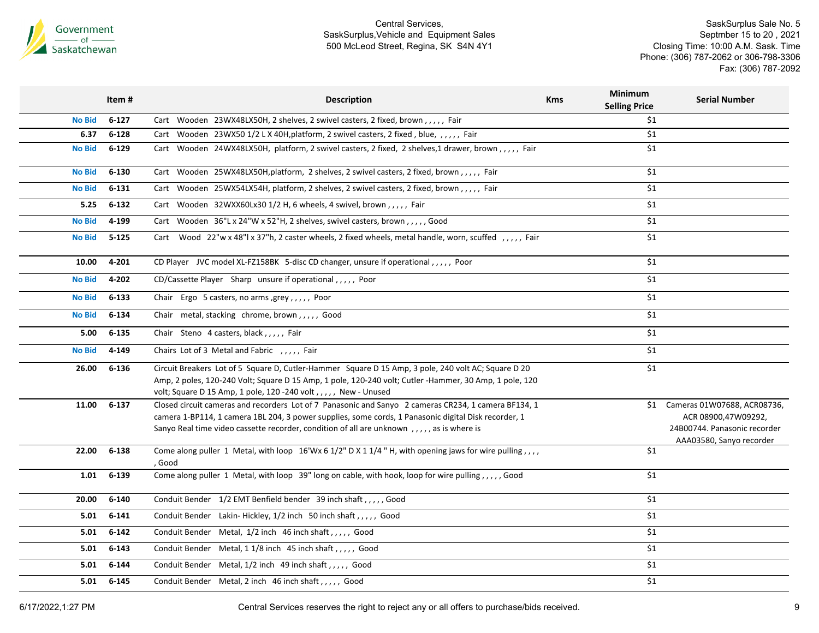

SaskSurplus Sale No. 5 Septmber 15 to 20 , 2021 Closing Time: 10:00 A.M. Sask. Time Phone: (306) 787-2062 or 306-798-3306 Fax: (306) 787-2092

|               | Item#     | <b>Description</b>                                                                                                                                                                                                                                                                                        | <b>Kms</b> | Minimum<br><b>Selling Price</b> | <b>Serial Number</b>                                                                                           |
|---------------|-----------|-----------------------------------------------------------------------------------------------------------------------------------------------------------------------------------------------------------------------------------------------------------------------------------------------------------|------------|---------------------------------|----------------------------------------------------------------------------------------------------------------|
| <b>No Bid</b> | $6 - 127$ | Cart Wooden 23WX48LX50H, 2 shelves, 2 swivel casters, 2 fixed, brown,,,,, Fair                                                                                                                                                                                                                            |            | \$1                             |                                                                                                                |
| 6.37          | $6 - 128$ | Cart Wooden 23WX50 1/2 L X 40H, platform, 2 swivel casters, 2 fixed, blue, ,,,,, Fair                                                                                                                                                                                                                     |            | \$1                             |                                                                                                                |
| <b>No Bid</b> | $6 - 129$ | Cart Wooden 24WX48LX50H, platform, 2 swivel casters, 2 fixed, 2 shelves, 1 drawer, brown,,,,, Fair                                                                                                                                                                                                        |            | \$1                             |                                                                                                                |
| <b>No Bid</b> | $6 - 130$ | Cart Wooden 25WX48LX50H, platform, 2 shelves, 2 swivel casters, 2 fixed, brown,,,,, Fair                                                                                                                                                                                                                  |            | \$1                             |                                                                                                                |
| <b>No Bid</b> | $6 - 131$ | Cart Wooden 25WX54LX54H, platform, 2 shelves, 2 swivel casters, 2 fixed, brown,,,,, Fair                                                                                                                                                                                                                  |            | \$1                             |                                                                                                                |
| 5.25          | $6 - 132$ | Cart Wooden 32WXX60Lx30 1/2 H, 6 wheels, 4 swivel, brown,,,,, Fair                                                                                                                                                                                                                                        |            | \$1                             |                                                                                                                |
| <b>No Bid</b> | 4-199     | Cart Wooden 36"L x 24"W x 52"H, 2 shelves, swivel casters, brown,,,,,Good                                                                                                                                                                                                                                 |            | \$1                             |                                                                                                                |
| <b>No Bid</b> | $5 - 125$ | Cart Wood 22"w x 48"l x 37"h, 2 caster wheels, 2 fixed wheels, metal handle, worn, scuffed, ,,,,, Fair                                                                                                                                                                                                    |            | \$1                             |                                                                                                                |
| 10.00         | 4-201     | CD Player JVC model XL-FZ158BK 5-disc CD changer, unsure if operational,,,,, Poor                                                                                                                                                                                                                         |            | \$1                             |                                                                                                                |
| <b>No Bid</b> | 4-202     | CD/Cassette Player Sharp unsure if operational,,,,, Poor                                                                                                                                                                                                                                                  |            | \$1                             |                                                                                                                |
| <b>No Bid</b> | $6 - 133$ | Chair Ergo 5 casters, no arms, grey, ,,,,, Poor                                                                                                                                                                                                                                                           |            | \$1                             |                                                                                                                |
| <b>No Bid</b> | $6 - 134$ | Chair metal, stacking chrome, brown,,,,, Good                                                                                                                                                                                                                                                             |            | \$1                             |                                                                                                                |
| 5.00          | $6 - 135$ | Chair Steno 4 casters, black,,,,, Fair                                                                                                                                                                                                                                                                    |            | \$1                             |                                                                                                                |
| <b>No Bid</b> | 4-149     | Chairs Lot of 3 Metal and Fabric , , , , , Fair                                                                                                                                                                                                                                                           |            | \$1                             |                                                                                                                |
| 26.00         | $6 - 136$ | Circuit Breakers Lot of 5 Square D, Cutler-Hammer Square D 15 Amp, 3 pole, 240 volt AC; Square D 20<br>Amp, 2 poles, 120-240 Volt; Square D 15 Amp, 1 pole, 120-240 volt; Cutler -Hammer, 30 Amp, 1 pole, 120<br>volt; Square D 15 Amp, 1 pole, 120 -240 volt,,,,, New - Unused                           |            | \$1                             |                                                                                                                |
| 11.00         | $6 - 137$ | Closed circuit cameras and recorders Lot of 7 Panasonic and Sanyo 2 cameras CR234, 1 camera BF134, 1<br>camera 1-BP114, 1 camera 1BL 204, 3 power supplies, some cords, 1 Panasonic digital Disk recorder, 1<br>Sanyo Real time video cassette recorder, condition of all are unknown,,,,, as is where is |            | \$1                             | Cameras 01W07688, ACR08736,<br>ACR 08900,47W09292,<br>24B00744. Panasonic recorder<br>AAA03580, Sanyo recorder |
| 22.00         | $6 - 138$ | Come along puller 1 Metal, with loop 16'Wx 6 1/2" D X 1 1/4 " H, with opening jaws for wire pulling,,,,<br>, Good                                                                                                                                                                                         |            | \$1                             |                                                                                                                |
| 1.01          | $6 - 139$ | Come along puller 1 Metal, with loop 39" long on cable, with hook, loop for wire pulling,,,,, Good                                                                                                                                                                                                        |            | \$1                             |                                                                                                                |
| 20.00         | $6 - 140$ | Conduit Bender 1/2 EMT Benfield bender 39 inch shaft, , , , , Good                                                                                                                                                                                                                                        |            | \$1                             |                                                                                                                |
| 5.01          | $6 - 141$ | Conduit Bender Lakin-Hickley, 1/2 inch 50 inch shaft, , Good                                                                                                                                                                                                                                              |            | \$1                             |                                                                                                                |
| 5.01          | $6 - 142$ | Conduit Bender Metal, 1/2 inch 46 inch shaft, , , , , Good                                                                                                                                                                                                                                                |            | \$1                             |                                                                                                                |
| 5.01          | $6 - 143$ | Conduit Bender Metal, 1 1/8 inch 45 inch shaft, , , , , Good                                                                                                                                                                                                                                              |            | \$1                             |                                                                                                                |
| 5.01          | $6 - 144$ | Conduit Bender Metal, 1/2 inch 49 inch shaft, , , , , Good                                                                                                                                                                                                                                                |            | \$1                             |                                                                                                                |
| 5.01          | $6 - 145$ | Conduit Bender Metal, 2 inch 46 inch shaft,,,,, Good                                                                                                                                                                                                                                                      |            | \$1                             |                                                                                                                |
|               |           |                                                                                                                                                                                                                                                                                                           |            |                                 |                                                                                                                |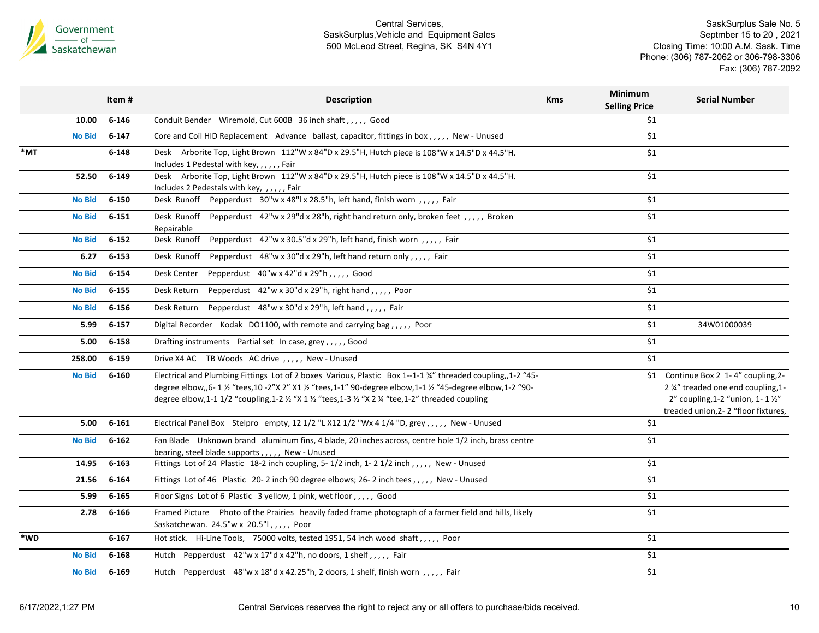

|     | Item #                     | <b>Description</b>                                                                                                                                                                                                                                                                                                                                                       | <b>Kms</b> | Minimum<br><b>Selling Price</b> | <b>Serial Number</b>                                                                                                                                |
|-----|----------------------------|--------------------------------------------------------------------------------------------------------------------------------------------------------------------------------------------------------------------------------------------------------------------------------------------------------------------------------------------------------------------------|------------|---------------------------------|-----------------------------------------------------------------------------------------------------------------------------------------------------|
|     | 10.00<br>$6 - 146$         | Conduit Bender Wiremold, Cut 600B 36 inch shaft,,,,, Good                                                                                                                                                                                                                                                                                                                |            | \$1                             |                                                                                                                                                     |
|     | $6 - 147$<br><b>No Bid</b> | Core and Coil HID Replacement Advance ballast, capacitor, fittings in box,,,,, New - Unused                                                                                                                                                                                                                                                                              |            | \$1                             |                                                                                                                                                     |
| *MT | $6 - 148$                  | Desk Arborite Top, Light Brown 112"W x 84"D x 29.5"H, Hutch piece is 108"W x 14.5"D x 44.5"H.<br>Includes 1 Pedestal with key, , , , , , Fair                                                                                                                                                                                                                            |            | \$1                             |                                                                                                                                                     |
|     | $6 - 149$<br>52.50         | Desk Arborite Top, Light Brown 112"W x 84"D x 29.5"H, Hutch piece is 108"W x 14.5"D x 44.5"H.<br>Includes 2 Pedestals with key, ,,,,,Fair                                                                                                                                                                                                                                |            | \$1                             |                                                                                                                                                     |
|     | <b>No Bid</b><br>$6 - 150$ | Desk Runoff Pepperdust 30"w x 48"l x 28.5"h, left hand, finish worn , , , , , Fair                                                                                                                                                                                                                                                                                       |            | \$1                             |                                                                                                                                                     |
|     | <b>No Bid</b><br>$6 - 151$ | Desk Runoff Pepperdust 42"w x 29"d x 28"h, right hand return only, broken feet, ,,,,, Broken<br>Repairable                                                                                                                                                                                                                                                               |            | \$1                             |                                                                                                                                                     |
|     | $6 - 152$<br><b>No Bid</b> | Pepperdust 42"w x 30.5"d x 29"h, left hand, finish worn,,,,, Fair<br>Desk Runoff                                                                                                                                                                                                                                                                                         |            | \$1                             |                                                                                                                                                     |
|     | 6.27<br>$6 - 153$          | Pepperdust 48"w x 30"d x 29"h, left hand return only,,,,, Fair<br>Desk Runoff                                                                                                                                                                                                                                                                                            |            | \$1                             |                                                                                                                                                     |
|     | $6 - 154$<br><b>No Bid</b> | Pepperdust 40"w x 42"d x 29"h,,,,, Good<br>Desk Center                                                                                                                                                                                                                                                                                                                   |            | \$1                             |                                                                                                                                                     |
|     | $6 - 155$<br><b>No Bid</b> | Pepperdust $42''w \times 30''d \times 29''h$ , right hand,,,,, Poor<br>Desk Return                                                                                                                                                                                                                                                                                       |            | \$1                             |                                                                                                                                                     |
|     | $6 - 156$<br><b>No Bid</b> | Pepperdust 48"w x 30"d x 29"h, left hand,,,,, Fair<br>Desk Return                                                                                                                                                                                                                                                                                                        |            | \$1                             |                                                                                                                                                     |
|     | 5.99<br>$6 - 157$          | Digital Recorder Kodak DO1100, with remote and carrying bag,,,,, Poor                                                                                                                                                                                                                                                                                                    |            | \$1                             | 34W01000039                                                                                                                                         |
|     | $6 - 158$<br>5.00          | Drafting instruments Partial set In case, grey,,,,, Good                                                                                                                                                                                                                                                                                                                 |            | \$1                             |                                                                                                                                                     |
|     | $6 - 159$<br>258.00        | Drive X4 AC TB Woods AC drive , , , , , New - Unused                                                                                                                                                                                                                                                                                                                     |            | \$1                             |                                                                                                                                                     |
|     | <b>No Bid</b><br>6-160     | Electrical and Plumbing Fittings Lot of 2 boxes Various, Plastic Box 1--1-1 34" threaded coupling, 1-2 "45-<br>degree elbow,,6- 1 1/2 "tees,10 -2"X 2" X1 1/2 "tees,1-1" 90-degree elbow,1-1 1/2 "45-degree elbow,1-2 "90-<br>degree elbow,1-1 1/2 "coupling,1-2 $\frac{1}{2}$ "X 1 $\frac{1}{2}$ "tees,1-3 $\frac{1}{2}$ "X 2 $\frac{1}{4}$ "tee,1-2" threaded coupling |            | \$1                             | Continue Box 2 1-4" coupling, 2-<br>2 3/4" treaded one end coupling, 1-<br>2" coupling, 1-2 "union, 1-1 1/2"<br>treaded union, 2-2 "floor fixtures, |
|     | $6 - 161$<br>5.00          | Electrical Panel Box Stelpro empty, 12 1/2 "L X12 1/2 "Wx 4 1/4 "D, grey,,,,, New - Unused                                                                                                                                                                                                                                                                               |            | \$1                             |                                                                                                                                                     |
|     | $6 - 162$<br><b>No Bid</b> | Fan Blade Unknown brand aluminum fins, 4 blade, 20 inches across, centre hole 1/2 inch, brass centre<br>bearing, steel blade supports,,,,, New - Unused                                                                                                                                                                                                                  |            | \$1                             |                                                                                                                                                     |
|     | 14.95<br>$6 - 163$         | Fittings Lot of 24 Plastic 18-2 inch coupling, 5-1/2 inch, 1-21/2 inch, ,,,,, New - Unused                                                                                                                                                                                                                                                                               |            | \$1                             |                                                                                                                                                     |
|     | $6 - 164$<br>21.56         | Fittings Lot of 46 Plastic 20-2 inch 90 degree elbows; 26-2 inch tees,,,,,, New - Unused                                                                                                                                                                                                                                                                                 |            | \$1                             |                                                                                                                                                     |
|     | 5.99<br>$6 - 165$          | Floor Signs Lot of 6 Plastic 3 yellow, 1 pink, wet floor,,,,, Good                                                                                                                                                                                                                                                                                                       |            | \$1                             |                                                                                                                                                     |
|     | 2.78<br>6-166              | Framed Picture Photo of the Prairies heavily faded frame photograph of a farmer field and hills, likely<br>Saskatchewan. $24.5''w \times 20.5''$ , , , , , Poor                                                                                                                                                                                                          |            | \$1                             |                                                                                                                                                     |
| *WD | $6 - 167$                  | Hot stick. Hi-Line Tools, 75000 volts, tested 1951, 54 inch wood shaft,,,,, Poor                                                                                                                                                                                                                                                                                         |            | \$1                             |                                                                                                                                                     |
|     | 6-168<br><b>No Bid</b>     | Hutch Pepperdust 42"w x 17"d x 42"h, no doors, 1 shelf,,,,, Fair                                                                                                                                                                                                                                                                                                         |            | \$1                             |                                                                                                                                                     |
|     | $6 - 169$<br><b>No Bid</b> | Hutch Pepperdust 48"w x 18"d x 42.25"h, 2 doors, 1 shelf, finish worn,,,,, Fair                                                                                                                                                                                                                                                                                          |            | \$1                             |                                                                                                                                                     |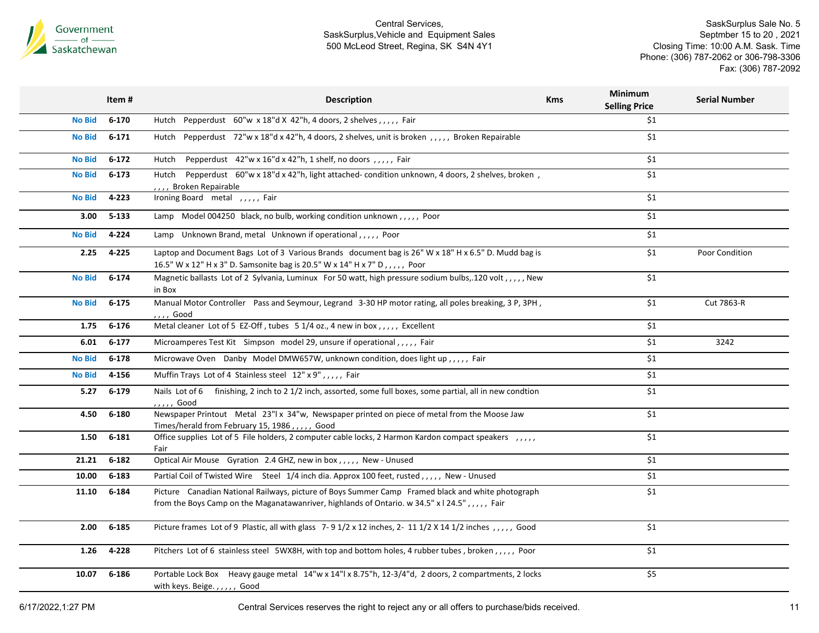

SaskSurplus Sale No. 5 Septmber 15 to 20 , 2021 Closing Time: 10:00 A.M. Sask. Time Phone: (306) 787-2062 or 306-798-3306 Fax: (306) 787-2092

| $6 - 170$<br>Hutch Pepperdust $60''w \times 18''d \times 42''h$ , 4 doors, 2 shelves, , , , , Fair<br>\$1<br><b>No Bid</b><br>$6 - 171$<br>Hutch Pepperdust 72"w x 18"d x 42"h, 4 doors, 2 shelves, unit is broken, ,,,,, Broken Repairable<br>\$1<br><b>No Bid</b><br>\$1<br>$6 - 172$<br>Pepperdust 42"w x 16"d x 42"h, 1 shelf, no doors, ,,,,, Fair<br><b>No Bid</b><br>Hutch<br>$6 - 173$<br>\$1<br><b>No Bid</b><br>Hutch Pepperdust 60"w x 18"d x 42"h, light attached- condition unknown, 4 doors, 2 shelves, broken,<br>,,, Broken Repairable<br>4-223<br>Ironing Board metal , , , , , Fair<br>\$1<br><b>No Bid</b><br>$5 - 133$<br>Lamp Model 004250 black, no bulb, working condition unknown,,,,, Poor<br>\$1<br>3.00<br>\$1<br>4-224<br>Lamp Unknown Brand, metal Unknown if operational,,,,, Poor<br><b>No Bid</b><br>4-225<br>Laptop and Document Bags Lot of 3 Various Brands document bag is 26" W x 18" H x 6.5" D. Mudd bag is<br>\$1<br>Poor Condition<br>2.25<br>16.5" W x 12" H x 3" D. Samsonite bag is 20.5" W x 14" H x 7" D,,,,, Poor<br>$6 - 174$<br>Magnetic ballasts Lot of 2 Sylvania, Luminux For 50 watt, high pressure sodium bulbs, 120 volt,,,,, New<br>\$1<br><b>No Bid</b><br>in Box<br>$6 - 175$<br>Manual Motor Controller Pass and Seymour, Legrand 3-30 HP motor rating, all poles breaking, 3 P, 3PH,<br>\$1<br>Cut 7863-R<br><b>No Bid</b><br>, , , , Good<br>Metal cleaner Lot of 5 EZ-Off, tubes 51/4 oz., 4 new in box, ,,,, Excellent<br>\$1<br>1.75<br>$6 - 176$<br>$6 - 177$<br>\$1<br>3242<br>6.01<br>Microamperes Test Kit Simpson model 29, unsure if operational,,,,, Fair<br>$6 - 178$<br>Microwave Oven Danby Model DMW657W, unknown condition, does light up,,,,, Fair<br>\$1<br><b>No Bid</b><br>Muffin Trays Lot of 4 Stainless steel 12" x 9",,,,, Fair<br>\$1<br>4-156<br><b>No Bid</b><br>$6 - 179$<br>Nails Lot of 6 finishing, 2 inch to 2 1/2 inch, assorted, some full boxes, some partial, all in new condtion<br>\$1<br>5.27<br>, , , , , Good<br>\$1<br>4.50<br>$6 - 180$<br>Newspaper Printout Metal 23"  x 34"w, Newspaper printed on piece of metal from the Moose Jaw<br>Times/herald from February 15, 1986,,,,,, Good<br>Office supplies Lot of 5 File holders, 2 computer cable locks, 2 Harmon Kardon compact speakers ,,,,,<br>\$1<br>$6 - 181$<br>1.50<br>Fair<br>$6 - 182$<br>\$1<br>21.21<br>Optical Air Mouse Gyration 2.4 GHZ, new in box,,,,, New - Unused<br>10.00<br>$6 - 183$<br>Partial Coil of Twisted Wire Steel 1/4 inch dia. Approx 100 feet, rusted,,,,,, New - Unused<br>\$1<br>\$1<br>11.10<br>$6 - 184$<br>Picture Canadian National Railways, picture of Boys Summer Camp Framed black and white photograph<br>from the Boys Camp on the Maganatawanriver, highlands of Ontario. w 34.5" x   24.5",,,,, Fair | Item# | <b>Description</b> | <b>Kms</b> | <b>Minimum</b><br><b>Selling Price</b> | <b>Serial Number</b> |
|---------------------------------------------------------------------------------------------------------------------------------------------------------------------------------------------------------------------------------------------------------------------------------------------------------------------------------------------------------------------------------------------------------------------------------------------------------------------------------------------------------------------------------------------------------------------------------------------------------------------------------------------------------------------------------------------------------------------------------------------------------------------------------------------------------------------------------------------------------------------------------------------------------------------------------------------------------------------------------------------------------------------------------------------------------------------------------------------------------------------------------------------------------------------------------------------------------------------------------------------------------------------------------------------------------------------------------------------------------------------------------------------------------------------------------------------------------------------------------------------------------------------------------------------------------------------------------------------------------------------------------------------------------------------------------------------------------------------------------------------------------------------------------------------------------------------------------------------------------------------------------------------------------------------------------------------------------------------------------------------------------------------------------------------------------------------------------------------------------------------------------------------------------------------------------------------------------------------------------------------------------------------------------------------------------------------------------------------------------------------------------------------------------------------------------------------------------------------------------------------------------------------------------------------------------------------------------------------------------------------------------------------------------------------------------------------------------------------------------------------------------------------------------------------------------------|-------|--------------------|------------|----------------------------------------|----------------------|
|                                                                                                                                                                                                                                                                                                                                                                                                                                                                                                                                                                                                                                                                                                                                                                                                                                                                                                                                                                                                                                                                                                                                                                                                                                                                                                                                                                                                                                                                                                                                                                                                                                                                                                                                                                                                                                                                                                                                                                                                                                                                                                                                                                                                                                                                                                                                                                                                                                                                                                                                                                                                                                                                                                                                                                                                               |       |                    |            |                                        |                      |
|                                                                                                                                                                                                                                                                                                                                                                                                                                                                                                                                                                                                                                                                                                                                                                                                                                                                                                                                                                                                                                                                                                                                                                                                                                                                                                                                                                                                                                                                                                                                                                                                                                                                                                                                                                                                                                                                                                                                                                                                                                                                                                                                                                                                                                                                                                                                                                                                                                                                                                                                                                                                                                                                                                                                                                                                               |       |                    |            |                                        |                      |
|                                                                                                                                                                                                                                                                                                                                                                                                                                                                                                                                                                                                                                                                                                                                                                                                                                                                                                                                                                                                                                                                                                                                                                                                                                                                                                                                                                                                                                                                                                                                                                                                                                                                                                                                                                                                                                                                                                                                                                                                                                                                                                                                                                                                                                                                                                                                                                                                                                                                                                                                                                                                                                                                                                                                                                                                               |       |                    |            |                                        |                      |
|                                                                                                                                                                                                                                                                                                                                                                                                                                                                                                                                                                                                                                                                                                                                                                                                                                                                                                                                                                                                                                                                                                                                                                                                                                                                                                                                                                                                                                                                                                                                                                                                                                                                                                                                                                                                                                                                                                                                                                                                                                                                                                                                                                                                                                                                                                                                                                                                                                                                                                                                                                                                                                                                                                                                                                                                               |       |                    |            |                                        |                      |
|                                                                                                                                                                                                                                                                                                                                                                                                                                                                                                                                                                                                                                                                                                                                                                                                                                                                                                                                                                                                                                                                                                                                                                                                                                                                                                                                                                                                                                                                                                                                                                                                                                                                                                                                                                                                                                                                                                                                                                                                                                                                                                                                                                                                                                                                                                                                                                                                                                                                                                                                                                                                                                                                                                                                                                                                               |       |                    |            |                                        |                      |
|                                                                                                                                                                                                                                                                                                                                                                                                                                                                                                                                                                                                                                                                                                                                                                                                                                                                                                                                                                                                                                                                                                                                                                                                                                                                                                                                                                                                                                                                                                                                                                                                                                                                                                                                                                                                                                                                                                                                                                                                                                                                                                                                                                                                                                                                                                                                                                                                                                                                                                                                                                                                                                                                                                                                                                                                               |       |                    |            |                                        |                      |
|                                                                                                                                                                                                                                                                                                                                                                                                                                                                                                                                                                                                                                                                                                                                                                                                                                                                                                                                                                                                                                                                                                                                                                                                                                                                                                                                                                                                                                                                                                                                                                                                                                                                                                                                                                                                                                                                                                                                                                                                                                                                                                                                                                                                                                                                                                                                                                                                                                                                                                                                                                                                                                                                                                                                                                                                               |       |                    |            |                                        |                      |
|                                                                                                                                                                                                                                                                                                                                                                                                                                                                                                                                                                                                                                                                                                                                                                                                                                                                                                                                                                                                                                                                                                                                                                                                                                                                                                                                                                                                                                                                                                                                                                                                                                                                                                                                                                                                                                                                                                                                                                                                                                                                                                                                                                                                                                                                                                                                                                                                                                                                                                                                                                                                                                                                                                                                                                                                               |       |                    |            |                                        |                      |
|                                                                                                                                                                                                                                                                                                                                                                                                                                                                                                                                                                                                                                                                                                                                                                                                                                                                                                                                                                                                                                                                                                                                                                                                                                                                                                                                                                                                                                                                                                                                                                                                                                                                                                                                                                                                                                                                                                                                                                                                                                                                                                                                                                                                                                                                                                                                                                                                                                                                                                                                                                                                                                                                                                                                                                                                               |       |                    |            |                                        |                      |
|                                                                                                                                                                                                                                                                                                                                                                                                                                                                                                                                                                                                                                                                                                                                                                                                                                                                                                                                                                                                                                                                                                                                                                                                                                                                                                                                                                                                                                                                                                                                                                                                                                                                                                                                                                                                                                                                                                                                                                                                                                                                                                                                                                                                                                                                                                                                                                                                                                                                                                                                                                                                                                                                                                                                                                                                               |       |                    |            |                                        |                      |
|                                                                                                                                                                                                                                                                                                                                                                                                                                                                                                                                                                                                                                                                                                                                                                                                                                                                                                                                                                                                                                                                                                                                                                                                                                                                                                                                                                                                                                                                                                                                                                                                                                                                                                                                                                                                                                                                                                                                                                                                                                                                                                                                                                                                                                                                                                                                                                                                                                                                                                                                                                                                                                                                                                                                                                                                               |       |                    |            |                                        |                      |
|                                                                                                                                                                                                                                                                                                                                                                                                                                                                                                                                                                                                                                                                                                                                                                                                                                                                                                                                                                                                                                                                                                                                                                                                                                                                                                                                                                                                                                                                                                                                                                                                                                                                                                                                                                                                                                                                                                                                                                                                                                                                                                                                                                                                                                                                                                                                                                                                                                                                                                                                                                                                                                                                                                                                                                                                               |       |                    |            |                                        |                      |
|                                                                                                                                                                                                                                                                                                                                                                                                                                                                                                                                                                                                                                                                                                                                                                                                                                                                                                                                                                                                                                                                                                                                                                                                                                                                                                                                                                                                                                                                                                                                                                                                                                                                                                                                                                                                                                                                                                                                                                                                                                                                                                                                                                                                                                                                                                                                                                                                                                                                                                                                                                                                                                                                                                                                                                                                               |       |                    |            |                                        |                      |
|                                                                                                                                                                                                                                                                                                                                                                                                                                                                                                                                                                                                                                                                                                                                                                                                                                                                                                                                                                                                                                                                                                                                                                                                                                                                                                                                                                                                                                                                                                                                                                                                                                                                                                                                                                                                                                                                                                                                                                                                                                                                                                                                                                                                                                                                                                                                                                                                                                                                                                                                                                                                                                                                                                                                                                                                               |       |                    |            |                                        |                      |
|                                                                                                                                                                                                                                                                                                                                                                                                                                                                                                                                                                                                                                                                                                                                                                                                                                                                                                                                                                                                                                                                                                                                                                                                                                                                                                                                                                                                                                                                                                                                                                                                                                                                                                                                                                                                                                                                                                                                                                                                                                                                                                                                                                                                                                                                                                                                                                                                                                                                                                                                                                                                                                                                                                                                                                                                               |       |                    |            |                                        |                      |
|                                                                                                                                                                                                                                                                                                                                                                                                                                                                                                                                                                                                                                                                                                                                                                                                                                                                                                                                                                                                                                                                                                                                                                                                                                                                                                                                                                                                                                                                                                                                                                                                                                                                                                                                                                                                                                                                                                                                                                                                                                                                                                                                                                                                                                                                                                                                                                                                                                                                                                                                                                                                                                                                                                                                                                                                               |       |                    |            |                                        |                      |
|                                                                                                                                                                                                                                                                                                                                                                                                                                                                                                                                                                                                                                                                                                                                                                                                                                                                                                                                                                                                                                                                                                                                                                                                                                                                                                                                                                                                                                                                                                                                                                                                                                                                                                                                                                                                                                                                                                                                                                                                                                                                                                                                                                                                                                                                                                                                                                                                                                                                                                                                                                                                                                                                                                                                                                                                               |       |                    |            |                                        |                      |
|                                                                                                                                                                                                                                                                                                                                                                                                                                                                                                                                                                                                                                                                                                                                                                                                                                                                                                                                                                                                                                                                                                                                                                                                                                                                                                                                                                                                                                                                                                                                                                                                                                                                                                                                                                                                                                                                                                                                                                                                                                                                                                                                                                                                                                                                                                                                                                                                                                                                                                                                                                                                                                                                                                                                                                                                               |       |                    |            |                                        |                      |
|                                                                                                                                                                                                                                                                                                                                                                                                                                                                                                                                                                                                                                                                                                                                                                                                                                                                                                                                                                                                                                                                                                                                                                                                                                                                                                                                                                                                                                                                                                                                                                                                                                                                                                                                                                                                                                                                                                                                                                                                                                                                                                                                                                                                                                                                                                                                                                                                                                                                                                                                                                                                                                                                                                                                                                                                               |       |                    |            |                                        |                      |
|                                                                                                                                                                                                                                                                                                                                                                                                                                                                                                                                                                                                                                                                                                                                                                                                                                                                                                                                                                                                                                                                                                                                                                                                                                                                                                                                                                                                                                                                                                                                                                                                                                                                                                                                                                                                                                                                                                                                                                                                                                                                                                                                                                                                                                                                                                                                                                                                                                                                                                                                                                                                                                                                                                                                                                                                               |       |                    |            |                                        |                      |
| $6 - 185$<br>Picture frames Lot of 9 Plastic, all with glass 7-91/2 x 12 inches, 2-111/2 X 141/2 inches, ,,,,, Good<br>\$1<br>2.00                                                                                                                                                                                                                                                                                                                                                                                                                                                                                                                                                                                                                                                                                                                                                                                                                                                                                                                                                                                                                                                                                                                                                                                                                                                                                                                                                                                                                                                                                                                                                                                                                                                                                                                                                                                                                                                                                                                                                                                                                                                                                                                                                                                                                                                                                                                                                                                                                                                                                                                                                                                                                                                                            |       |                    |            |                                        |                      |
| 4-228<br>Pitchers Lot of 6 stainless steel 5WX8H, with top and bottom holes, 4 rubber tubes, broken,,,,, Poor<br>\$1<br>1.26                                                                                                                                                                                                                                                                                                                                                                                                                                                                                                                                                                                                                                                                                                                                                                                                                                                                                                                                                                                                                                                                                                                                                                                                                                                                                                                                                                                                                                                                                                                                                                                                                                                                                                                                                                                                                                                                                                                                                                                                                                                                                                                                                                                                                                                                                                                                                                                                                                                                                                                                                                                                                                                                                  |       |                    |            |                                        |                      |
| \$5<br>6-186<br>Portable Lock Box Heavy gauge metal 14"w x 14"l x 8.75"h, 12-3/4"d, 2 doors, 2 compartments, 2 locks<br>10.07<br>with keys. Beige.,,,,,, Good                                                                                                                                                                                                                                                                                                                                                                                                                                                                                                                                                                                                                                                                                                                                                                                                                                                                                                                                                                                                                                                                                                                                                                                                                                                                                                                                                                                                                                                                                                                                                                                                                                                                                                                                                                                                                                                                                                                                                                                                                                                                                                                                                                                                                                                                                                                                                                                                                                                                                                                                                                                                                                                 |       |                    |            |                                        |                      |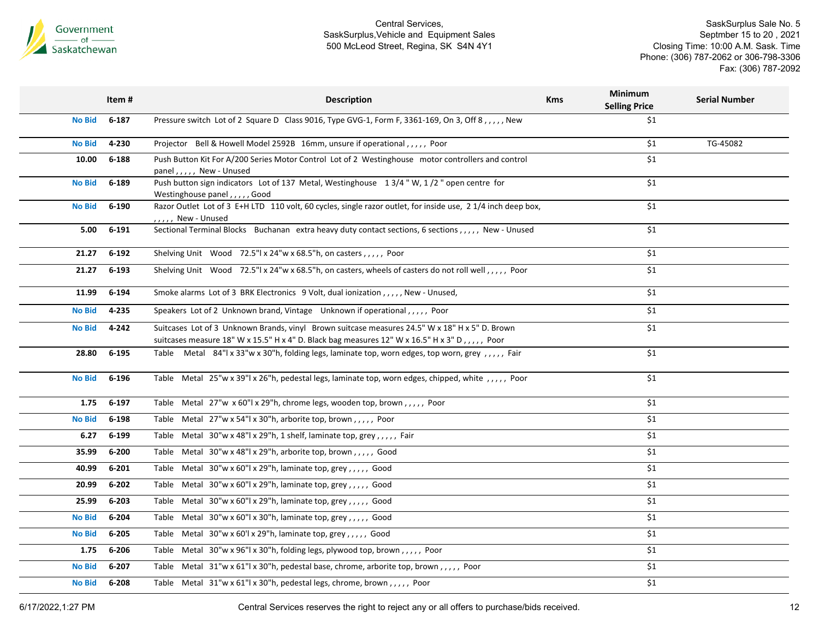

SaskSurplus Sale No. 5 Septmber 15 to 20 , 2021 Closing Time: 10:00 A.M. Sask. Time Phone: (306) 787-2062 or 306-798-3306 Fax: (306) 787-2092

|               | Item#     | <b>Description</b>                                                                                                                                                                               | <b>Kms</b> | Minimum<br><b>Selling Price</b> | <b>Serial Number</b> |
|---------------|-----------|--------------------------------------------------------------------------------------------------------------------------------------------------------------------------------------------------|------------|---------------------------------|----------------------|
| <b>No Bid</b> | 6-187     | Pressure switch Lot of 2 Square D Class 9016, Type GVG-1, Form F, 3361-169, On 3, Off 8, , New                                                                                                   |            | \$1                             |                      |
| <b>No Bid</b> | 4-230     | Projector Bell & Howell Model 2592B 16mm, unsure if operational,,,,, Poor                                                                                                                        |            | \$1                             | TG-45082             |
| 10.00         | 6-188     | Push Button Kit For A/200 Series Motor Control Lot of 2 Westinghouse motor controllers and control<br>panel,,,,, New - Unused                                                                    |            | \$1                             |                      |
| <b>No Bid</b> | 6-189     | Push button sign indicators Lot of 137 Metal, Westinghouse 13/4"W, 1/2" open centre for<br>Westinghouse panel,,,,, Good                                                                          |            | \$1                             |                      |
| <b>No Bid</b> | 6-190     | Razor Outlet Lot of 3 E+H LTD 110 volt, 60 cycles, single razor outlet, for inside use, 2 1/4 inch deep box,<br>,,,,, New - Unused                                                               |            | \$1                             |                      |
| 5.00          | 6-191     | Sectional Terminal Blocks Buchanan extra heavy duty contact sections, 6 sections,,,,,, New - Unused                                                                                              |            | \$1                             |                      |
| 21.27         | $6 - 192$ | Shelving Unit Wood 72.5"  x 24"w x 68.5"h, on casters, , , , , Poor                                                                                                                              |            | \$1                             |                      |
| 21.27         | $6 - 193$ | Shelving Unit Wood 72.5"  x 24"w x 68.5"h, on casters, wheels of casters do not roll well, , , , , Poor                                                                                          |            | \$1                             |                      |
| 11.99         | $6 - 194$ | Smoke alarms Lot of 3 BRK Electronics 9 Volt, dual ionization, , New - Unused,                                                                                                                   |            | \$1                             |                      |
| <b>No Bid</b> | 4-235     | Speakers Lot of 2 Unknown brand, Vintage Unknown if operational,,,,,, Poor                                                                                                                       |            | \$1                             |                      |
| <b>No Bid</b> | $4 - 242$ | Suitcases Lot of 3 Unknown Brands, vinyl Brown suitcase measures 24.5" W x 18" H x 5" D. Brown<br>suitcases measure 18" W x 15.5" H x 4" D. Black bag measures 12" W x 16.5" H x 3" D,,,,,, Poor |            | \$1                             |                      |
| 28.80         | $6 - 195$ | Table Metal 84"  x 33"w x 30"h, folding legs, laminate top, worn edges, top worn, grey,,,,, Fair                                                                                                 |            | \$1                             |                      |
| <b>No Bid</b> | $6 - 196$ | Table Metal 25"w x 39"l x 26"h, pedestal legs, laminate top, worn edges, chipped, white , , , , , Poor                                                                                           |            | \$1                             |                      |
| 1.75          | 6-197     | Table Metal 27"w x 60"l x 29"h, chrome legs, wooden top, brown,,,,,, Poor                                                                                                                        |            | \$1                             |                      |
| <b>No Bid</b> | 6-198     | Table Metal 27"w x 54"l x 30"h, arborite top, brown,,,,, Poor                                                                                                                                    |            | \$1                             |                      |
| 6.27          | $6 - 199$ | Table Metal $30''w \times 48''$ x 29"h, 1 shelf, laminate top, grey,,,,, Fair                                                                                                                    |            | \$1                             |                      |
| 35.99         | 6-200     | Table Metal 30"w x 48"l x 29"h, arborite top, brown,,,,, Good                                                                                                                                    |            | \$1                             |                      |
| 40.99         | $6 - 201$ | Table Metal 30"w x 60"l x 29"h, laminate top, grey,,,,,, Good                                                                                                                                    |            | \$1                             |                      |
| 20.99         | $6 - 202$ | Table Metal 30"w x 60"l x 29"h, laminate top, grey,,,,, Good                                                                                                                                     |            | \$1                             |                      |
| 25.99         | $6 - 203$ | Table Metal 30"w x 60"l x 29"h, laminate top, grey,,,,,, Good                                                                                                                                    |            | \$1                             |                      |
| <b>No Bid</b> | 6-204     | Table Metal $30''w \times 60''l \times 30''h$ , laminate top, grey,,,,, Good                                                                                                                     |            | \$1                             |                      |
| <b>No Bid</b> | $6 - 205$ | Table Metal 30"w x 60'l x 29"h, laminate top, grey,,,,, Good                                                                                                                                     |            | \$1                             |                      |
| 1.75          | 6-206     | Table Metal 30"w x 96"l x 30"h, folding legs, plywood top, brown,,,,, Poor                                                                                                                       |            | \$1                             |                      |
| <b>No Bid</b> | $6 - 207$ | Table Metal 31"w x 61"l x 30"h, pedestal base, chrome, arborite top, brown,,,,, Poor                                                                                                             |            | \$1                             |                      |
| <b>No Bid</b> | $6 - 208$ | Table Metal 31"w x 61"l x 30"h, pedestal legs, chrome, brown,,,,, Poor                                                                                                                           |            | \$1                             |                      |
|               |           |                                                                                                                                                                                                  |            |                                 |                      |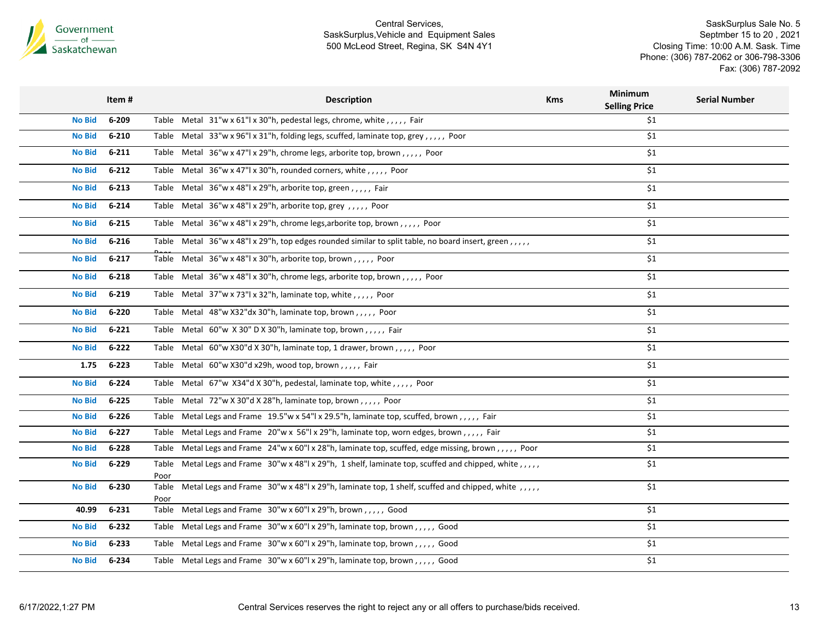

|               | Item#     | <b>Description</b>                                                                                                 | <b>Kms</b> | Minimum<br><b>Selling Price</b> | <b>Serial Number</b> |
|---------------|-----------|--------------------------------------------------------------------------------------------------------------------|------------|---------------------------------|----------------------|
| <b>No Bid</b> | 6-209     | Table Metal 31"w x 61"l x 30"h, pedestal legs, chrome, white, ,,,, Fair                                            |            | \$1                             |                      |
| <b>No Bid</b> | $6 - 210$ | Table Metal 33"w x 96"l x 31"h, folding legs, scuffed, laminate top, grey,,,,,, Poor                               |            | \$1                             |                      |
| <b>No Bid</b> | $6 - 211$ | Table Metal 36"w x 47"l x 29"h, chrome legs, arborite top, brown,,,,, Poor                                         |            | \$1                             |                      |
| <b>No Bid</b> | $6 - 212$ | Table Metal 36"w x 47"l x 30"h, rounded corners, white,,,,, Poor                                                   |            | \$1                             |                      |
| <b>No Bid</b> | $6 - 213$ | Table Metal 36"w x 48"l x 29"h, arborite top, green,,,,, Fair                                                      |            | \$1                             |                      |
| <b>No Bid</b> | $6 - 214$ | Table Metal 36"w x 48"l x 29"h, arborite top, grey,,,,, Poor                                                       |            | \$1                             |                      |
| <b>No Bid</b> | $6 - 215$ | Table Metal 36"w x 48"l x 29"h, chrome legs, arborite top, brown,,,,, Poor                                         |            | \$1                             |                      |
| <b>No Bid</b> | $6 - 216$ | Table Metal 36"w x 48"l x 29"h, top edges rounded similar to split table, no board insert, green,,,,,              |            | \$1                             |                      |
| <b>No Bid</b> | $6 - 217$ | Table Metal $36''w \times 48''$ l x $30''h$ , arborite top, brown,,,,, Poor                                        |            | \$1                             |                      |
| <b>No Bid</b> | $6 - 218$ | Table Metal 36"w x 48"l x 30"h, chrome legs, arborite top, brown,,,,, Poor                                         |            | \$1                             |                      |
| <b>No Bid</b> | $6 - 219$ | Table Metal 37"w x 73"l x 32"h, laminate top, white,,,,,, Poor                                                     |            | \$1                             |                      |
| <b>No Bid</b> | 6-220     | Table Metal 48"w X32"dx 30"h, laminate top, brown,,,,,, Poor                                                       |            | \$1                             |                      |
| <b>No Bid</b> | $6 - 221$ | Table Metal 60"w X 30" D X 30"h, laminate top, brown,,,,, Fair                                                     |            | \$1                             |                      |
| <b>No Bid</b> | $6 - 222$ | Table Metal 60"w X30"d X 30"h, laminate top, 1 drawer, brown,,,,, Poor                                             |            | \$1                             |                      |
| 1.75          | $6 - 223$ | Table Metal 60"w X30"d x29h, wood top, brown,,,,,, Fair                                                            |            | \$1                             |                      |
| <b>No Bid</b> | $6 - 224$ | Table Metal 67"w X34"d X 30"h, pedestal, laminate top, white,,,,,, Poor                                            |            | \$1                             |                      |
| <b>No Bid</b> | $6 - 225$ | Table Metal 72"w X 30"d X 28"h, laminate top, brown,,,,, Poor                                                      |            | \$1                             |                      |
| <b>No Bid</b> | $6 - 226$ | Table Metal Legs and Frame 19.5"w x 54"l x 29.5"h, laminate top, scuffed, brown,,,,, Fair                          |            | \$1                             |                      |
| <b>No Bid</b> | $6 - 227$ | Table Metal Legs and Frame 20"w x 56"l x 29"h, laminate top, worn edges, brown,,,,, Fair                           |            | \$1                             |                      |
| <b>No Bid</b> | $6 - 228$ | Table Metal Legs and Frame 24"w x 60"l x 28"h, laminate top, scuffed, edge missing, brown,,,,,, Poor               |            | \$1                             |                      |
| <b>No Bid</b> | $6 - 229$ | Table Metal Legs and Frame 30"w x 48"l x 29"h, 1 shelf, laminate top, scuffed and chipped, white , , , , ,         |            | \$1                             |                      |
| <b>No Bid</b> | 6-230     | Poor<br>Table Metal Legs and Frame 30"w x 48"l x 29"h, laminate top, 1 shelf, scuffed and chipped, white , , , , , |            | \$1                             |                      |
| 40.99         | $6 - 231$ | Poor<br>Table Metal Legs and Frame 30"w x 60"l x 29"h, brown,,,,, Good                                             |            | \$1                             |                      |
| <b>No Bid</b> | $6 - 232$ | Table Metal Legs and Frame 30"w x 60"l x 29"h, laminate top, brown,,,,, Good                                       |            | \$1                             |                      |
| <b>No Bid</b> | $6 - 233$ | Table Metal Legs and Frame 30"w x 60"l x 29"h, laminate top, brown,,,,, Good                                       |            | \$1                             |                      |
| <b>No Bid</b> | 6-234     | Table Metal Legs and Frame 30"w x 60"l x 29"h, laminate top, brown,,,,, Good                                       |            | \$1                             |                      |
|               |           |                                                                                                                    |            |                                 |                      |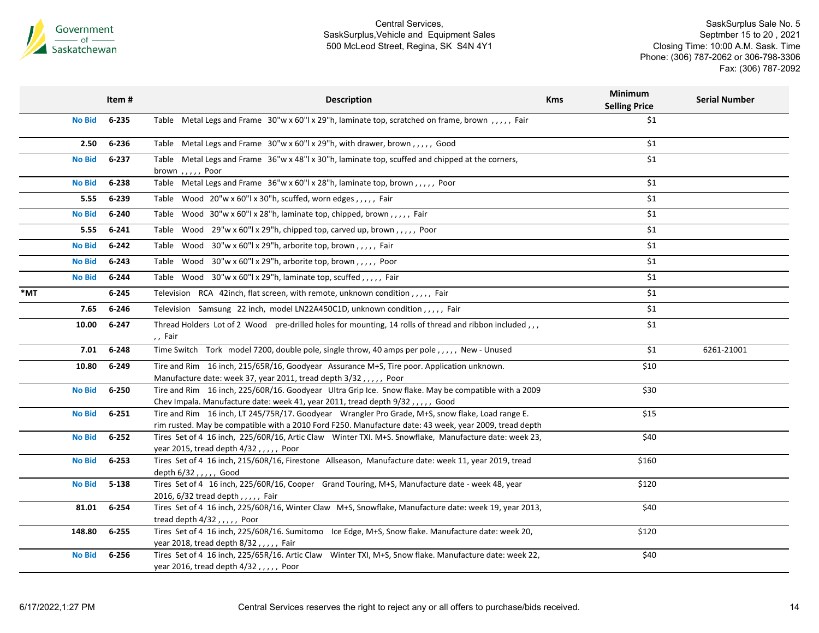

|               | Item#     | <b>Description</b><br><b>Kms</b>                                                                                                                                                                           | <b>Minimum</b><br><b>Selling Price</b> | <b>Serial Number</b> |
|---------------|-----------|------------------------------------------------------------------------------------------------------------------------------------------------------------------------------------------------------------|----------------------------------------|----------------------|
| <b>No Bid</b> | 6-235     | Table Metal Legs and Frame 30"w x 60"l x 29"h, laminate top, scratched on frame, brown , , , , , Fair                                                                                                      | \$1                                    |                      |
| 2.50          | 6-236     | Table Metal Legs and Frame 30"w x 60"l x 29"h, with drawer, brown,,,,, Good                                                                                                                                | \$1                                    |                      |
| <b>No Bid</b> | 6-237     | Table Metal Legs and Frame 36"w x 48"l x 30"h, laminate top, scuffed and chipped at the corners,<br>brown,,,,, Poor                                                                                        | \$1                                    |                      |
| <b>No Bid</b> | 6-238     | Table Metal Legs and Frame 36"w x 60"l x 28"h, laminate top, brown,,,,, Poor                                                                                                                               | \$1                                    |                      |
| 5.55          | 6-239     | Table Wood 20"w x 60"l x 30"h, scuffed, worn edges,,,,, Fair                                                                                                                                               | \$1                                    |                      |
| <b>No Bid</b> | 6-240     | Table Wood 30"w x 60"l x 28"h, laminate top, chipped, brown,,,,, Fair                                                                                                                                      | \$1                                    |                      |
| 5.55          | $6 - 241$ | Table Wood 29"w x 60"l x 29"h, chipped top, carved up, brown,,,,, Poor                                                                                                                                     | \$1                                    |                      |
| <b>No Bid</b> | $6 - 242$ | Table Wood 30"w x 60"l x 29"h, arborite top, brown,,,,, Fair                                                                                                                                               | \$1                                    |                      |
| <b>No Bid</b> | $6 - 243$ | Table Wood 30"w x 60"l x 29"h, arborite top, brown,,,,, Poor                                                                                                                                               | \$1                                    |                      |
| <b>No Bid</b> | $6 - 244$ | Table Wood 30"w x 60"l x 29"h, laminate top, scuffed,,,,, Fair                                                                                                                                             | \$1                                    |                      |
| *MT           | $6 - 245$ | Television RCA 42inch, flat screen, with remote, unknown condition,,,,, Fair                                                                                                                               | \$1                                    |                      |
| 7.65          | $6 - 246$ | Television Samsung 22 inch, model LN22A450C1D, unknown condition,,,,, Fair                                                                                                                                 | \$1                                    |                      |
| 10.00         | $6 - 247$ | Thread Holders Lot of 2 Wood pre-drilled holes for mounting, 14 rolls of thread and ribbon included,,,<br>,, Fair                                                                                          | \$1                                    |                      |
| 7.01          | $6 - 248$ | Time Switch Tork model 7200, double pole, single throw, 40 amps per pole,,,,,, New - Unused                                                                                                                | \$1                                    | 6261-21001           |
| 10.80         | 6-249     | Tire and Rim 16 inch, 215/65R/16, Goodyear Assurance M+S, Tire poor. Application unknown.<br>Manufacture date: week 37, year 2011, tread depth 3/32,,,,, Poor                                              | \$10                                   |                      |
| <b>No Bid</b> | 6-250     | Tire and Rim 16 inch, 225/60R/16. Goodyear Ultra Grip Ice. Snow flake. May be compatible with a 2009<br>Chev Impala. Manufacture date: week 41, year 2011, tread depth 9/32,,,,, Good                      | \$30                                   |                      |
| <b>No Bid</b> | $6 - 251$ | Tire and Rim 16 inch, LT 245/75R/17. Goodyear Wrangler Pro Grade, M+S, snow flake, Load range E.<br>rim rusted. May be compatible with a 2010 Ford F250. Manufacture date: 43 week, year 2009, tread depth | \$15                                   |                      |
| <b>No Bid</b> | $6 - 252$ | Tires Set of 4 16 inch, 225/60R/16, Artic Claw Winter TXI. M+S. Snowflake, Manufacture date: week 23,<br>year 2015, tread depth $4/32$ ,,,,, Poor                                                          | \$40                                   |                      |
| <b>No Bid</b> | $6 - 253$ | Tires Set of 4 16 inch, 215/60R/16, Firestone Allseason, Manufacture date: week 11, year 2019, tread<br>depth 6/32,,,,, Good                                                                               | \$160                                  |                      |
| <b>No Bid</b> | $5 - 138$ | Tires Set of 4 16 inch, 225/60R/16, Cooper Grand Touring, M+S, Manufacture date - week 48, year<br>2016, 6/32 tread depth,,,,, Fair                                                                        | \$120                                  |                      |
| 81.01         | $6 - 254$ | Tires Set of 4 16 inch, 225/60R/16, Winter Claw M+S, Snowflake, Manufacture date: week 19, year 2013,<br>tread depth $4/32$ ,,,,, Poor                                                                     | \$40                                   |                      |
| 148.80        | $6 - 255$ | Tires Set of 4 16 inch, 225/60R/16. Sumitomo Ice Edge, M+S, Snow flake. Manufacture date: week 20,<br>year 2018, tread depth 8/32,,,,, Fair                                                                | \$120                                  |                      |
| <b>No Bid</b> | 6-256     | Tires Set of 4 16 inch, 225/65R/16. Artic Claw Winter TXI, M+S, Snow flake. Manufacture date: week 22,<br>year 2016, tread depth 4/32,,,,, Poor                                                            | \$40                                   |                      |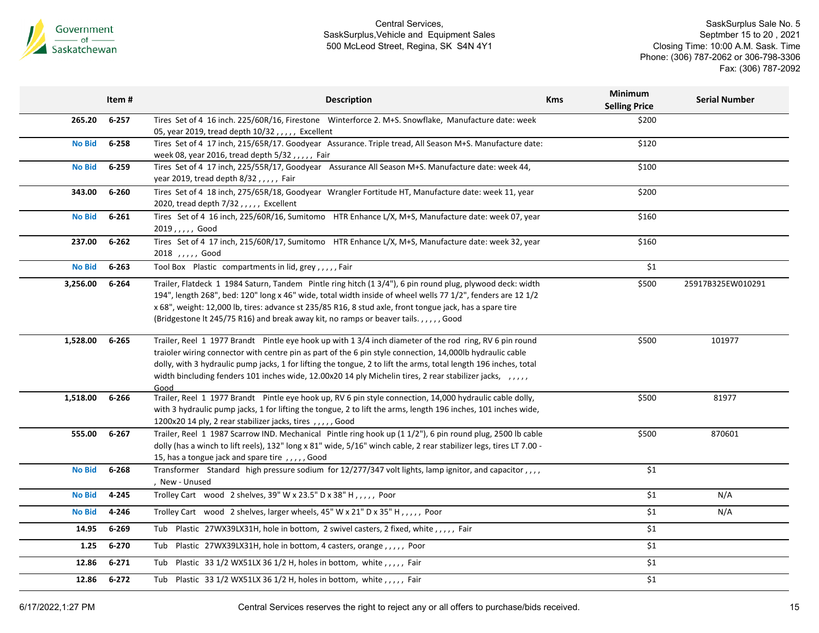

|               | Item#     | <b>Description</b>                                                                                                  | <b>Kms</b> | Minimum<br><b>Selling Price</b> | <b>Serial Number</b> |
|---------------|-----------|---------------------------------------------------------------------------------------------------------------------|------------|---------------------------------|----------------------|
| 265.20        | $6 - 257$ | Tires Set of 4 16 inch. 225/60R/16, Firestone Winterforce 2. M+S. Snowflake, Manufacture date: week                 |            | \$200                           |                      |
|               |           | 05, year 2019, tread depth $10/32$ , , , , , Excellent                                                              |            |                                 |                      |
| <b>No Bid</b> | $6 - 258$ | Tires Set of 4 17 inch, 215/65R/17. Goodyear Assurance. Triple tread, All Season M+S. Manufacture date:             |            | \$120                           |                      |
|               |           | week 08, year 2016, tread depth 5/32,,,,, Fair                                                                      |            |                                 |                      |
| <b>No Bid</b> | $6 - 259$ | Tires Set of 4 17 inch, 225/55R/17, Goodyear Assurance All Season M+S. Manufacture date: week 44,                   |            | \$100                           |                      |
|               |           | year 2019, tread depth 8/32,,,,, Fair                                                                               |            |                                 |                      |
| 343.00        | 6-260     | Tires Set of 4 18 inch, 275/65R/18, Goodyear Wrangler Fortitude HT, Manufacture date: week 11, year                 |            | \$200                           |                      |
|               |           | 2020, tread depth 7/32,,,,, Excellent                                                                               |            |                                 |                      |
| <b>No Bid</b> | $6 - 261$ | Tires Set of 4 16 inch, 225/60R/16, Sumitomo HTR Enhance L/X, M+S, Manufacture date: week 07, year                  |            | \$160                           |                      |
|               |           | 2019,,,,, Good                                                                                                      |            |                                 |                      |
| 237.00        | $6 - 262$ | Tires Set of 4 17 inch, 215/60R/17, Sumitomo HTR Enhance L/X, M+S, Manufacture date: week 32, year                  |            | \$160                           |                      |
|               |           | 2018 ,,,,, Good                                                                                                     |            |                                 |                      |
| <b>No Bid</b> | $6 - 263$ | Tool Box Plastic compartments in lid, grey,,,,,Fair                                                                 |            | \$1                             |                      |
| 3,256.00      | $6 - 264$ | Trailer, Flatdeck 1 1984 Saturn, Tandem Pintle ring hitch (1 3/4"), 6 pin round plug, plywood deck: width           |            | \$500                           | 25917B325EW010291    |
|               |           | 194", length 268", bed: 120" long x 46" wide, total width inside of wheel wells 77 1/2", fenders are 12 1/2         |            |                                 |                      |
|               |           | x 68", weight: 12,000 lb, tires: advance st 235/85 R16, 8 stud axle, front tongue jack, has a spare tire            |            |                                 |                      |
|               |           | (Bridgestone It 245/75 R16) and break away kit, no ramps or beaver tails.,,,,, Good                                 |            |                                 |                      |
| 1,528.00      | $6 - 265$ | Trailer, Reel 1 1977 Brandt Pintle eye hook up with 1 3/4 inch diameter of the rod ring, RV 6 pin round             |            | \$500                           | 101977               |
|               |           | traioler wiring connector with centre pin as part of the 6 pin style connection, 14,000lb hydraulic cable           |            |                                 |                      |
|               |           | dolly, with 3 hydraulic pump jacks, 1 for lifting the tongue, 2 to lift the arms, total length 196 inches, total    |            |                                 |                      |
|               |           | width bincluding fenders 101 inches wide, 12.00x20 14 ply Michelin tires, 2 rear stabilizer jacks, ,,,,,            |            |                                 |                      |
|               |           | Good                                                                                                                |            |                                 |                      |
| 1,518.00      | 6-266     | Trailer, Reel 1 1977 Brandt Pintle eye hook up, RV 6 pin style connection, 14,000 hydraulic cable dolly,            |            | \$500                           | 81977                |
|               |           | with 3 hydraulic pump jacks, 1 for lifting the tongue, 2 to lift the arms, length 196 inches, 101 inches wide,      |            |                                 |                      |
|               |           | 1200x20 14 ply, 2 rear stabilizer jacks, tires,,,,,Good                                                             |            |                                 |                      |
| 555.00        | $6 - 267$ | Trailer, Reel 1 1987 Scarrow IND. Mechanical Pintle ring hook up (1 1/2"), 6 pin round plug, 2500 lb cable          |            | \$500                           | 870601               |
|               |           | dolly (has a winch to lift reels), 132" long x 81" wide, 5/16" winch cable, 2 rear stabilizer legs, tires LT 7.00 - |            |                                 |                      |
|               |           | 15, has a tongue jack and spare tire,,,,, Good                                                                      |            |                                 |                      |
| <b>No Bid</b> | $6 - 268$ | Transformer Standard high pressure sodium for 12/277/347 volt lights, lamp ignitor, and capacitor,,,,               |            | \$1                             |                      |
|               |           | , New - Unused                                                                                                      |            |                                 |                      |
| <b>No Bid</b> | 4-245     | Trolley Cart wood 2 shelves, 39" W x 23.5" D x 38" H,,,,,, Poor                                                     |            | \$1                             | N/A                  |
| <b>No Bid</b> | 4-246     | Trolley Cart wood 2 shelves, larger wheels, 45" W x 21" D x 35" H, ,,,,, Poor                                       |            | $\overline{\xi_1}$              | N/A                  |
| 14.95         | $6 - 269$ | Tub Plastic 27WX39LX31H, hole in bottom, 2 swivel casters, 2 fixed, white,,,,,, Fair                                |            | \$1                             |                      |
| 1.25          | $6 - 270$ | Tub Plastic 27WX39LX31H, hole in bottom, 4 casters, orange,,,,, Poor                                                |            | \$1                             |                      |
| 12.86         | $6 - 271$ | Tub Plastic 33 1/2 WX51LX 36 1/2 H, holes in bottom, white,,,,, Fair                                                |            | \$1                             |                      |
| 12.86         | $6 - 272$ | Tub Plastic 33 1/2 WX51LX 36 1/2 H, holes in bottom, white,,,,, Fair                                                |            | \$1                             |                      |
|               |           |                                                                                                                     |            |                                 |                      |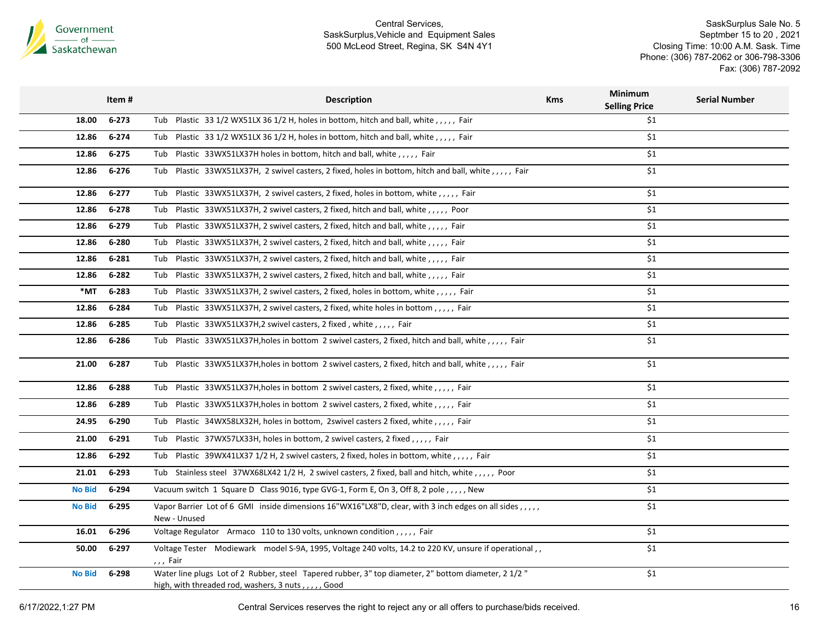

SaskSurplus Sale No. 5 Septmber 15 to 20 , 2021 Closing Time: 10:00 A.M. Sask. Time Phone: (306) 787-2062 or 306-798-3306 Fax: (306) 787-2092

|               | Item#     | <b>Description</b>                                                                                                                                        | <b>Kms</b> | <b>Minimum</b><br><b>Selling Price</b> | <b>Serial Number</b> |
|---------------|-----------|-----------------------------------------------------------------------------------------------------------------------------------------------------------|------------|----------------------------------------|----------------------|
| 18.00         | $6 - 273$ | Tub Plastic 33 1/2 WX51LX 36 1/2 H, holes in bottom, hitch and ball, white, ,,,,, Fair                                                                    |            | \$1                                    |                      |
| 12.86         | $6 - 274$ | Tub Plastic 33 1/2 WX51LX 36 1/2 H, holes in bottom, hitch and ball, white, ,,,,, Fair                                                                    |            | \$1                                    |                      |
| 12.86         | 6-275     | Tub Plastic 33WX51LX37H holes in bottom, hitch and ball, white, ,,,, Fair                                                                                 |            | \$1                                    |                      |
| 12.86         | $6 - 276$ | Tub Plastic 33WX51LX37H, 2 swivel casters, 2 fixed, holes in bottom, hitch and ball, white,,,,, Fair                                                      |            | \$1                                    |                      |
| 12.86         | $6 - 277$ | Tub Plastic 33WX51LX37H, 2 swivel casters, 2 fixed, holes in bottom, white,,,,, Fair                                                                      |            | \$1                                    |                      |
| 12.86         | $6 - 278$ | Tub Plastic 33WX51LX37H, 2 swivel casters, 2 fixed, hitch and ball, white,,,,,, Poor                                                                      |            | \$1                                    |                      |
| 12.86         | 6-279     | Tub Plastic 33WX51LX37H, 2 swivel casters, 2 fixed, hitch and ball, white, ,,,,, Fair                                                                     |            | \$1                                    |                      |
| 12.86         | 6-280     | Plastic 33WX51LX37H, 2 swivel casters, 2 fixed, hitch and ball, white,,,,, Fair<br>Tub                                                                    |            | \$1                                    |                      |
| 12.86         | 6-281     | Tub Plastic 33WX51LX37H, 2 swivel casters, 2 fixed, hitch and ball, white, ,,,, Fair                                                                      |            | \$1                                    |                      |
| 12.86         | $6 - 282$ | Tub Plastic 33WX51LX37H, 2 swivel casters, 2 fixed, hitch and ball, white, ,,,,, Fair                                                                     |            | \$1                                    |                      |
| *MT           | 6-283     | Tub Plastic 33WX51LX37H, 2 swivel casters, 2 fixed, holes in bottom, white, ,,,,, Fair                                                                    |            | \$1                                    |                      |
| 12.86         | 6-284     | Tub Plastic 33WX51LX37H, 2 swivel casters, 2 fixed, white holes in bottom,,,,, Fair                                                                       |            | \$1                                    |                      |
| 12.86         | 6-285     | Plastic 33WX51LX37H,2 swivel casters, 2 fixed, white,,,,, Fair<br>Tub                                                                                     |            | \$1                                    |                      |
| 12.86         | 6-286     | Tub Plastic 33WX51LX37H, holes in bottom 2 swivel casters, 2 fixed, hitch and ball, white,,,,, Fair                                                       |            | \$1                                    |                      |
| 21.00         | $6 - 287$ | Plastic 33WX51LX37H, holes in bottom 2 swivel casters, 2 fixed, hitch and ball, white, ,,,,, Fair<br>Tub                                                  |            | \$1                                    |                      |
| 12.86         | $6 - 288$ | Tub Plastic 33WX51LX37H, holes in bottom 2 swivel casters, 2 fixed, white, ,,,, Fair                                                                      |            | \$1                                    |                      |
| 12.86         | 6-289     | Plastic 33WX51LX37H, holes in bottom 2 swivel casters, 2 fixed, white, ,,,,, Fair<br>Tub                                                                  |            | \$1                                    |                      |
| 24.95         | 6-290     | Tub Plastic 34WX58LX32H, holes in bottom, 2swivel casters 2 fixed, white, ,,,, Fair                                                                       |            | \$1                                    |                      |
| 21.00         | $6 - 291$ | Tub Plastic 37WX57LX33H, holes in bottom, 2 swivel casters, 2 fixed,,,,,, Fair                                                                            |            | \$1                                    |                      |
| 12.86         | 6-292     | Tub Plastic 39WX41LX37 1/2 H, 2 swivel casters, 2 fixed, holes in bottom, white, ,,,,, Fair                                                               |            | \$1                                    |                      |
| 21.01         | $6 - 293$ | Tub Stainless steel 37WX68LX42 1/2 H, 2 swivel casters, 2 fixed, ball and hitch, white, ,,,,, Poor                                                        |            | \$1                                    |                      |
| <b>No Bid</b> | 6-294     | Vacuum switch 1 Square D Class 9016, type GVG-1, Form E, On 3, Off 8, 2 pole, ,,,,, New                                                                   |            | \$1                                    |                      |
| <b>No Bid</b> | $6 - 295$ | Vapor Barrier Lot of 6 GMI inside dimensions 16"WX16"LX8"D, clear, with 3 inch edges on all sides,,,,,<br>New - Unused                                    |            | \$1                                    |                      |
| 16.01         | 6-296     | Voltage Regulator Armaco 110 to 130 volts, unknown condition,,,,, Fair                                                                                    |            | \$1                                    |                      |
| 50.00         | 6-297     | Voltage Tester Modiewark model S-9A, 1995, Voltage 240 volts, 14.2 to 220 KV, unsure if operational,,                                                     |            | \$1                                    |                      |
|               |           | ,,, Fair                                                                                                                                                  |            |                                        |                      |
| <b>No Bid</b> | 6-298     | Water line plugs Lot of 2 Rubber, steel Tapered rubber, 3" top diameter, 2" bottom diameter, 2 1/2"<br>high, with threaded rod, washers, 3 nuts,,,,, Good |            | \$1                                    |                      |
|               |           |                                                                                                                                                           |            |                                        |                      |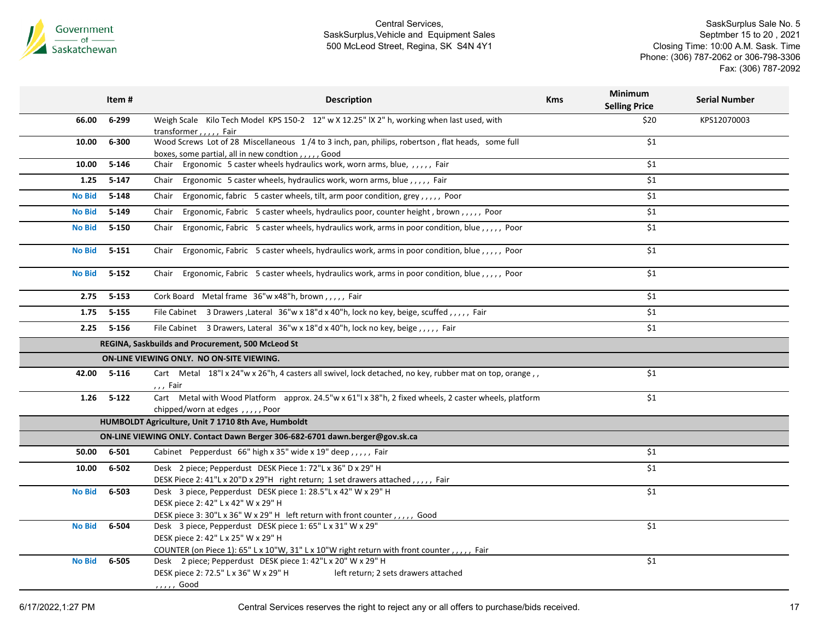

|               | Item #      | <b>Description</b>                                                                                                                                                                              | <b>Kms</b> | <b>Minimum</b><br><b>Selling Price</b> | <b>Serial Number</b> |
|---------------|-------------|-------------------------------------------------------------------------------------------------------------------------------------------------------------------------------------------------|------------|----------------------------------------|----------------------|
| 66.00         | 6-299       | Weigh Scale Kilo Tech Model KPS 150-2 12" w X 12.25" IX 2" h, working when last used, with<br>transformer,,,,, Fair                                                                             |            | \$20                                   | KPS12070003          |
| 10.00         | 6-300       | Wood Screws Lot of 28 Miscellaneous 1/4 to 3 inch, pan, philips, robertson, flat heads, some full<br>boxes, some partial, all in new condtion,,,,,, Good                                        |            | \$1                                    |                      |
| 10.00         | $5 - 146$   | Ergonomic 5 caster wheels hydraulics work, worn arms, blue, ,,,,, Fair<br>Chair                                                                                                                 |            | \$1                                    |                      |
| 1.25          | $5-147$     | Ergonomic 5 caster wheels, hydraulics work, worn arms, blue,,,,, Fair<br>Chair                                                                                                                  |            | \$1                                    |                      |
| <b>No Bid</b> | $5 - 148$   | Ergonomic, fabric 5 caster wheels, tilt, arm poor condition, grey,,,,, Poor<br>Chair                                                                                                            |            | \$1                                    |                      |
| <b>No Bid</b> | $5 - 149$   | Ergonomic, Fabric 5 caster wheels, hydraulics poor, counter height, brown,,,,, Poor<br>Chair                                                                                                    |            | \$1                                    |                      |
| <b>No Bid</b> | $5 - 150$   | Ergonomic, Fabric 5 caster wheels, hydraulics work, arms in poor condition, blue,,,,,, Poor<br>Chair                                                                                            |            | \$1                                    |                      |
| <b>No Bid</b> | $5 - 151$   | Chair Ergonomic, Fabric 5 caster wheels, hydraulics work, arms in poor condition, blue,,,,,, Poor                                                                                               |            | \$1                                    |                      |
| <b>No Bid</b> | $5 - 152$   | Chair Ergonomic, Fabric 5 caster wheels, hydraulics work, arms in poor condition, blue,,,,,, Poor                                                                                               |            | \$1                                    |                      |
| 2.75          | $5 - 153$   | Cork Board Metal frame 36"w x48"h, brown,,,,, Fair                                                                                                                                              |            | \$1                                    |                      |
| 1.75          | $5 - 155$   | File Cabinet 3 Drawers, Lateral 36"w x 18"d x 40"h, lock no key, beige, scuffed,,,,,, Fair                                                                                                      |            | \$1                                    |                      |
|               | 2.25 5-156  | File Cabinet 3 Drawers, Lateral 36"w x 18"d x 40"h, lock no key, beige, ,,,, Fair                                                                                                               |            | \$1                                    |                      |
|               |             | REGINA, Saskbuilds and Procurement, 500 McLeod St                                                                                                                                               |            |                                        |                      |
|               |             | ON-LINE VIEWING ONLY. NO ON-SITE VIEWING.                                                                                                                                                       |            |                                        |                      |
|               | 42.00 5-116 | Cart Metal 18"  x 24"w x 26"h, 4 casters all swivel, lock detached, no key, rubber mat on top, orange, ,<br>,,, Fair                                                                            |            | \$1                                    |                      |
| 1.26          | $5 - 122$   | Cart Metal with Wood Platform approx. 24.5"w x 61"l x 38"h, 2 fixed wheels, 2 caster wheels, platform<br>chipped/worn at edges,,,,,,Poor                                                        |            | \$1                                    |                      |
|               |             | HUMBOLDT Agriculture, Unit 7 1710 8th Ave, Humboldt                                                                                                                                             |            |                                        |                      |
|               |             | ON-LINE VIEWING ONLY. Contact Dawn Berger 306-682-6701 dawn.berger@gov.sk.ca                                                                                                                    |            |                                        |                      |
| 50.00         | 6-501       | Cabinet Pepperdust 66" high x 35" wide x 19" deep,,,,, Fair                                                                                                                                     |            | \$1                                    |                      |
| 10.00         | 6-502       | Desk 2 piece; Pepperdust DESK Piece 1: 72"L x 36" D x 29" H                                                                                                                                     |            | \$1                                    |                      |
|               |             | DESK Piece 2: 41"L x 20"D x 29"H right return; 1 set drawers attached,,,,,, Fair                                                                                                                |            |                                        |                      |
| <b>No Bid</b> | 6-503       | Desk 3 piece, Pepperdust DESK piece 1: 28.5"L x 42" W x 29" H<br>DESK piece 2: 42" L x 42" W x 29" H<br>DESK piece 3: 30"L x 36" W x 29" H left return with front counter, , , , , Good         |            | \$1                                    |                      |
| <b>No Bid</b> | 6-504       | Desk 3 piece, Pepperdust DESK piece 1: 65" L x 31" W x 29"<br>DESK piece 2: 42" L x 25" W x 29" H<br>COUNTER (on Piece 1): 65" L x 10"W, 31" L x 10"W right return with front counter,,,,, Fair |            | \$1                                    |                      |
| <b>No Bid</b> | 6-505       | Desk 2 piece; Pepperdust DESK piece 1: 42"L x 20" W x 29" H<br>DESK piece 2: 72.5" L x 36" W x 29" H<br>left return; 2 sets drawers attached<br>, , , , , Good                                  |            | $\overline{\$1}$                       |                      |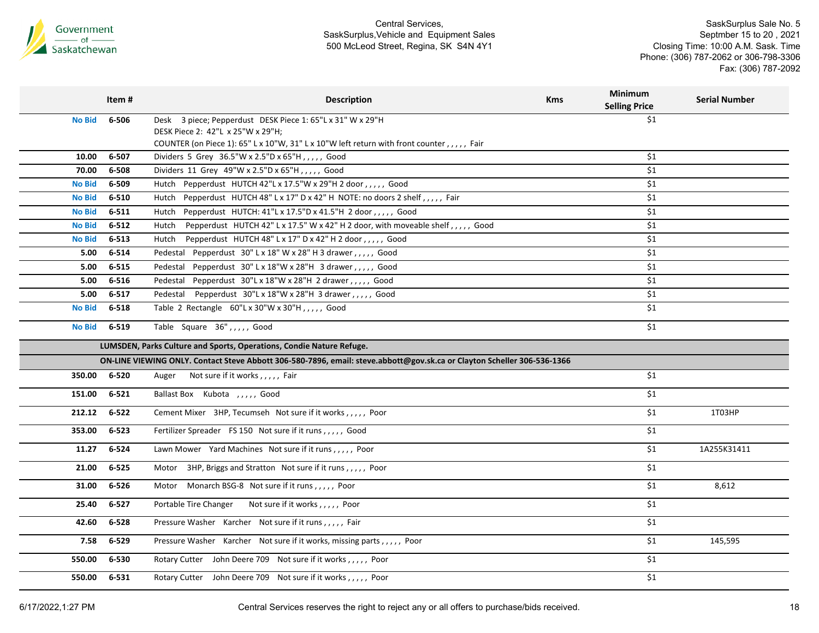

|               | Item#     | <b>Description</b>                                                                                                      | <b>Kms</b> | <b>Minimum</b><br><b>Selling Price</b> | <b>Serial Number</b> |
|---------------|-----------|-------------------------------------------------------------------------------------------------------------------------|------------|----------------------------------------|----------------------|
| <b>No Bid</b> | 6-506     | Desk 3 piece; Pepperdust DESK Piece 1: 65"L x 31" W x 29"H                                                              |            | \$1                                    |                      |
|               |           | DESK Piece 2: 42"L x 25"W x 29"H;                                                                                       |            |                                        |                      |
|               |           | COUNTER (on Piece 1): 65" L x 10"W, 31" L x 10"W left return with front counter,,,,, Fair                               |            |                                        |                      |
| 10.00         | 6-507     | Dividers 5 Grey 36.5"W x 2.5"D x 65"H,,,,, Good                                                                         |            | \$1                                    |                      |
| 70.00         | 6-508     | Dividers 11 Grey 49"W x 2.5"D x 65"H,,,,, Good                                                                          |            | \$1                                    |                      |
| <b>No Bid</b> | 6-509     | Pepperdust HUTCH 42"L x 17.5"W x 29"H 2 door,,,,, Good<br>Hutch                                                         |            | \$1                                    |                      |
| <b>No Bid</b> | 6-510     | Pepperdust HUTCH 48" L x 17" D x 42" H NOTE: no doors 2 shelf, , , , , Fair<br>Hutch                                    |            | \$1                                    |                      |
| <b>No Bid</b> | $6 - 511$ | Pepperdust HUTCH: 41"L x 17.5"D x 41.5"H 2 door,,,,, Good<br>Hutch                                                      |            | \$1                                    |                      |
| <b>No Bid</b> | $6 - 512$ | Pepperdust HUTCH 42" L x 17.5" W x 42" H 2 door, with moveable shelf,,,,, Good<br>Hutch                                 |            | \$1                                    |                      |
| <b>No Bid</b> | 6-513     | Pepperdust HUTCH 48" L x 17" D x 42" H 2 door,,,,, Good<br>Hutch                                                        |            | \$1                                    |                      |
| 5.00          | 6-514     | Pedestal Pepperdust 30" L x 18" W x 28" H 3 drawer, , , , , Good                                                        |            | \$1                                    |                      |
| 5.00          | $6 - 515$ | Pedestal Pepperdust 30" L x 18"W x 28"H 3 drawer,,,,, Good                                                              |            | \$1                                    |                      |
| 5.00          | 6-516     | Pedestal Pepperdust 30"L x 18"W x 28"H 2 drawer,,,,, Good                                                               |            | \$1                                    |                      |
| 5.00          | 6-517     | Pedestal Pepperdust 30"L x 18"W x 28"H 3 drawer,,,,, Good                                                               |            | \$1                                    |                      |
| <b>No Bid</b> | 6-518     | Table 2 Rectangle 60"L x 30"W x 30"H,,,,, Good                                                                          |            | \$1                                    |                      |
| <b>No Bid</b> | 6-519     | Table Square 36",,,,, Good                                                                                              |            | \$1                                    |                      |
|               |           | LUMSDEN, Parks Culture and Sports, Operations, Condie Nature Refuge.                                                    |            |                                        |                      |
|               |           | ON-LINE VIEWING ONLY. Contact Steve Abbott 306-580-7896, email: steve.abbott@gov.sk.ca or Clayton Scheller 306-536-1366 |            |                                        |                      |
| 350.00        | 6-520     | Not sure if it works,,,,, Fair<br>Auger                                                                                 |            | \$1                                    |                      |
| 151.00        | $6 - 521$ | Ballast Box Kubota , , , , , Good                                                                                       |            | \$1                                    |                      |
| 212.12        | $6 - 522$ | Cement Mixer 3HP, Tecumseh Not sure if it works,,,,, Poor                                                               |            | \$1                                    | 1T03HP               |
| 353.00        | $6 - 523$ | Fertilizer Spreader FS 150 Not sure if it runs,,,,, Good                                                                |            | \$1                                    |                      |
| 11.27         | 6-524     | Lawn Mower Yard Machines Not sure if it runs,,,,, Poor                                                                  |            | \$1                                    | 1A255K31411          |
| 21.00         | 6-525     | 3HP, Briggs and Stratton Not sure if it runs,,,,, Poor<br>Motor                                                         |            | \$1                                    |                      |
| 31.00         | 6-526     | Motor Monarch BSG-8 Not sure if it runs,,,,, Poor                                                                       |            | \$1                                    | 8,612                |
| 25.40         | $6 - 527$ | Portable Tire Changer Not sure if it works,,,,, Poor                                                                    |            | \$1                                    |                      |
| 42.60         | 6-528     | Pressure Washer Karcher Not sure if it runs,,,,, Fair                                                                   |            | \$1                                    |                      |
| 7.58          | 6-529     | Pressure Washer Karcher Not sure if it works, missing parts,,,,, Poor                                                   |            | \$1                                    | 145,595              |
| 550.00        | 6-530     | Rotary Cutter John Deere 709 Not sure if it works,,,,, Poor                                                             |            | \$1                                    |                      |
| 550.00        | 6-531     | Rotary Cutter John Deere 709 Not sure if it works,,,,, Poor                                                             |            | \$1                                    |                      |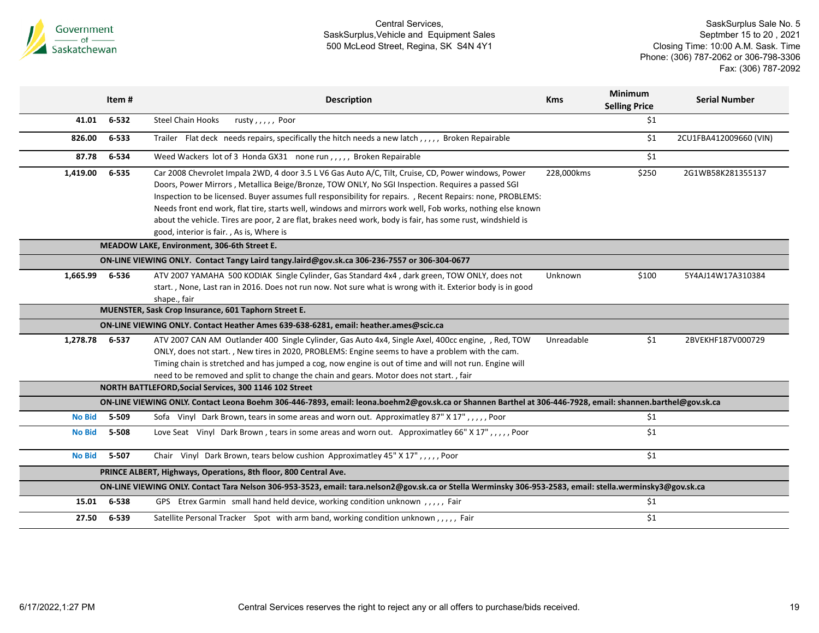

|                                | Item#          | <b>Description</b>                                                                                                                                                                                                                                                                                                                                                                                                                                                                                                                                                                              | <b>Kms</b> | <b>Minimum</b><br><b>Selling Price</b> | <b>Serial Number</b>   |
|--------------------------------|----------------|-------------------------------------------------------------------------------------------------------------------------------------------------------------------------------------------------------------------------------------------------------------------------------------------------------------------------------------------------------------------------------------------------------------------------------------------------------------------------------------------------------------------------------------------------------------------------------------------------|------------|----------------------------------------|------------------------|
| 41.01                          | 6-532          | <b>Steel Chain Hooks</b><br>rusty, $, \, \,$ , $, \,$ Poor                                                                                                                                                                                                                                                                                                                                                                                                                                                                                                                                      |            | \$1                                    |                        |
| 826.00                         | $6 - 533$      | Trailer Flat deck needs repairs, specifically the hitch needs a new latch, ,,,,, Broken Repairable                                                                                                                                                                                                                                                                                                                                                                                                                                                                                              |            | \$1                                    | 2CU1FBA412009660 (VIN) |
| 87.78                          | 6-534          | Weed Wackers lot of 3 Honda GX31 none run,,,,, Broken Repairable                                                                                                                                                                                                                                                                                                                                                                                                                                                                                                                                |            | \$1                                    |                        |
| 1,419.00                       | 6-535          | Car 2008 Chevrolet Impala 2WD, 4 door 3.5 L V6 Gas Auto A/C, Tilt, Cruise, CD, Power windows, Power<br>Doors, Power Mirrors, Metallica Beige/Bronze, TOW ONLY, No SGI Inspection. Requires a passed SGI<br>Inspection to be licensed. Buyer assumes full responsibility for repairs. , Recent Repairs: none, PROBLEMS:<br>Needs front end work, flat tire, starts well, windows and mirrors work well, Fob works, nothing else known<br>about the vehicle. Tires are poor, 2 are flat, brakes need work, body is fair, has some rust, windshield is<br>good, interior is fair., As is, Where is | 228,000kms | \$250                                  | 2G1WB58K281355137      |
|                                |                | MEADOW LAKE, Environment, 306-6th Street E.                                                                                                                                                                                                                                                                                                                                                                                                                                                                                                                                                     |            |                                        |                        |
|                                |                | ON-LINE VIEWING ONLY. Contact Tangy Laird tangy laird@gov.sk.ca 306-236-7557 or 306-304-0677                                                                                                                                                                                                                                                                                                                                                                                                                                                                                                    |            |                                        |                        |
| 1,665.99                       | 6-536          | ATV 2007 YAMAHA 500 KODIAK Single Cylinder, Gas Standard 4x4, dark green, TOW ONLY, does not<br>start., None, Last ran in 2016. Does not run now. Not sure what is wrong with it. Exterior body is in good<br>shape., fair                                                                                                                                                                                                                                                                                                                                                                      | Unknown    | \$100                                  | 5Y4AJ14W17A310384      |
|                                |                | MUENSTER, Sask Crop Insurance, 601 Taphorn Street E.                                                                                                                                                                                                                                                                                                                                                                                                                                                                                                                                            |            |                                        |                        |
|                                |                | ON-LINE VIEWING ONLY. Contact Heather Ames 639-638-6281, email: heather.ames@scic.ca                                                                                                                                                                                                                                                                                                                                                                                                                                                                                                            |            |                                        |                        |
| 1,278.78                       | 6-537          | ATV 2007 CAN AM Outlander 400 Single Cylinder, Gas Auto 4x4, Single Axel, 400cc engine, , Red, TOW<br>ONLY, does not start., New tires in 2020, PROBLEMS: Engine seems to have a problem with the cam.<br>Timing chain is stretched and has jumped a cog, now engine is out of time and will not run. Engine will<br>need to be removed and split to change the chain and gears. Motor does not start., fair                                                                                                                                                                                    | Unreadable | \$1                                    | 2BVEKHF187V000729      |
|                                |                | NORTH BATTLEFORD, Social Services, 300 1146 102 Street                                                                                                                                                                                                                                                                                                                                                                                                                                                                                                                                          |            |                                        |                        |
|                                |                | ON-LINE VIEWING ONLY. Contact Leona Boehm 306-446-7893, email: leona.boehm2@gov.sk.ca or Shannen Barthel at 306-446-7928, email: shannen.barthel@gov.sk.ca                                                                                                                                                                                                                                                                                                                                                                                                                                      |            |                                        |                        |
| <b>No Bid</b><br><b>No Bid</b> | 5-509<br>5-508 | Sofa Vinyl Dark Brown, tears in some areas and worn out. Approximatley 87" X 17",,,,, Poor<br>Love Seat Vinyl Dark Brown, tears in some areas and worn out. Approximatley 66" X 17",,,,, Poor                                                                                                                                                                                                                                                                                                                                                                                                   |            | \$1<br>\$1                             |                        |
| <b>No Bid</b>                  | 5-507          | Chair Vinyl Dark Brown, tears below cushion Approximatley 45" X 17",,,,, Poor                                                                                                                                                                                                                                                                                                                                                                                                                                                                                                                   |            | \$1                                    |                        |
|                                |                | PRINCE ALBERT, Highways, Operations, 8th floor, 800 Central Ave.                                                                                                                                                                                                                                                                                                                                                                                                                                                                                                                                |            |                                        |                        |
|                                |                | ON-LINE VIEWING ONLY. Contact Tara Nelson 306-953-3523, email: tara.nelson2@gov.sk.ca or Stella Werminsky 306-953-2583, email: stella.werminsky3@gov.sk.ca                                                                                                                                                                                                                                                                                                                                                                                                                                      |            |                                        |                        |
| 15.01                          | 6-538          | GPS Etrex Garmin small hand held device, working condition unknown,,,,, Fair                                                                                                                                                                                                                                                                                                                                                                                                                                                                                                                    |            | \$1                                    |                        |
| 27.50                          | 6-539          | Satellite Personal Tracker Spot with arm band, working condition unknown,,,,, Fair                                                                                                                                                                                                                                                                                                                                                                                                                                                                                                              |            | \$1                                    |                        |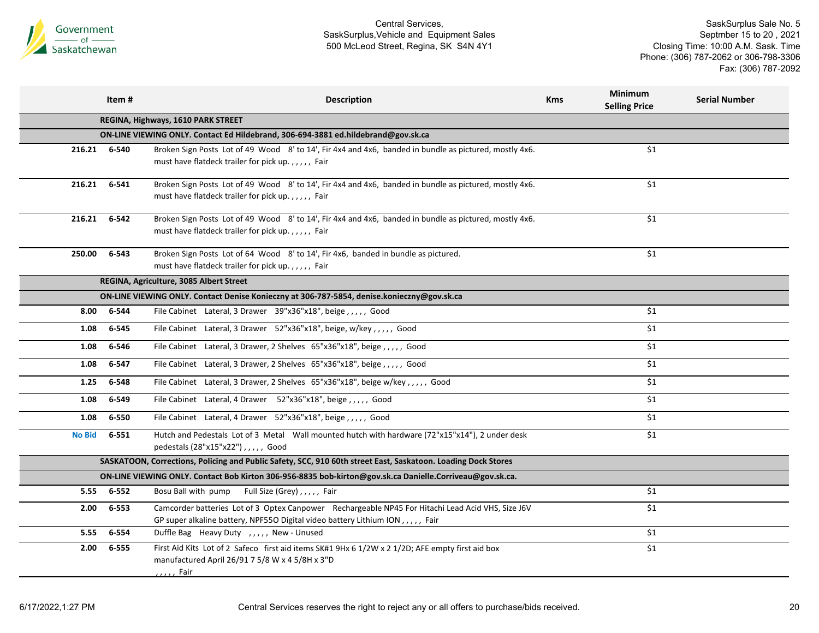

|                                                                                                               | Item#                                                                             | <b>Description</b>                                                                                                                                                                 | <b>Kms</b> | Minimum<br><b>Selling Price</b> | <b>Serial Number</b> |  |  |  |  |
|---------------------------------------------------------------------------------------------------------------|-----------------------------------------------------------------------------------|------------------------------------------------------------------------------------------------------------------------------------------------------------------------------------|------------|---------------------------------|----------------------|--|--|--|--|
|                                                                                                               |                                                                                   | REGINA, Highways, 1610 PARK STREET                                                                                                                                                 |            |                                 |                      |  |  |  |  |
|                                                                                                               | ON-LINE VIEWING ONLY. Contact Ed Hildebrand, 306-694-3881 ed.hildebrand@gov.sk.ca |                                                                                                                                                                                    |            |                                 |                      |  |  |  |  |
| 216.21 6-540                                                                                                  |                                                                                   | Broken Sign Posts Lot of 49 Wood 8' to 14', Fir 4x4 and 4x6, banded in bundle as pictured, mostly 4x6.<br>must have flatdeck trailer for pick up.,,,,, Fair                        |            | \$1                             |                      |  |  |  |  |
| 216.21                                                                                                        | 6-541                                                                             | Broken Sign Posts Lot of 49 Wood 8' to 14', Fir 4x4 and 4x6, banded in bundle as pictured, mostly 4x6.<br>must have flatdeck trailer for pick up.,,,,, Fair                        |            | \$1                             |                      |  |  |  |  |
| 216.21                                                                                                        | 6-542                                                                             | Broken Sign Posts Lot of 49 Wood 8' to 14', Fir 4x4 and 4x6, banded in bundle as pictured, mostly 4x6.<br>must have flatdeck trailer for pick up.,,,,, Fair                        |            | \$1                             |                      |  |  |  |  |
| 250.00                                                                                                        | 6-543                                                                             | Broken Sign Posts Lot of 64 Wood 8' to 14', Fir 4x6, banded in bundle as pictured.<br>must have flatdeck trailer for pick up.,,,,, Fair                                            |            | \$1                             |                      |  |  |  |  |
|                                                                                                               |                                                                                   | REGINA, Agriculture, 3085 Albert Street                                                                                                                                            |            |                                 |                      |  |  |  |  |
|                                                                                                               |                                                                                   | ON-LINE VIEWING ONLY. Contact Denise Konieczny at 306-787-5854, denise.konieczny@gov.sk.ca                                                                                         |            |                                 |                      |  |  |  |  |
| 8.00                                                                                                          | 6-544                                                                             | File Cabinet Lateral, 3 Drawer 39"x36"x18", beige,,,,,, Good                                                                                                                       |            | \$1                             |                      |  |  |  |  |
| 1.08                                                                                                          | 6-545                                                                             | File Cabinet Lateral, 3 Drawer 52"x36"x18", beige, w/key,,,,, Good                                                                                                                 |            | \$1                             |                      |  |  |  |  |
| 1.08                                                                                                          | 6-546                                                                             | File Cabinet Lateral, 3 Drawer, 2 Shelves 65"x36"x18", beige,,,,,, Good                                                                                                            |            | \$1                             |                      |  |  |  |  |
| 1.08                                                                                                          | 6-547                                                                             | File Cabinet Lateral, 3 Drawer, 2 Shelves 65"x36"x18", beige,,,,,, Good                                                                                                            |            | \$1                             |                      |  |  |  |  |
| 1.25                                                                                                          | 6-548                                                                             | File Cabinet Lateral, 3 Drawer, 2 Shelves 65"x36"x18", beige w/key,,,,, Good                                                                                                       |            | \$1                             |                      |  |  |  |  |
| 1.08                                                                                                          | 6-549                                                                             | File Cabinet Lateral, 4 Drawer 52"x36"x18", beige,,,,, Good                                                                                                                        |            | \$1                             |                      |  |  |  |  |
| 1.08                                                                                                          | 6-550                                                                             | File Cabinet Lateral, 4 Drawer 52"x36"x18", beige,,,,,, Good                                                                                                                       |            | \$1                             |                      |  |  |  |  |
| <b>No Bid</b>                                                                                                 | 6-551                                                                             | Hutch and Pedestals Lot of 3 Metal Wall mounted hutch with hardware (72"x15"x14"), 2 under desk<br>pedestals (28"x15"x22"),,,,, Good                                               |            | \$1                             |                      |  |  |  |  |
| SASKATOON, Corrections, Policing and Public Safety, SCC, 910 60th street East, Saskatoon. Loading Dock Stores |                                                                                   |                                                                                                                                                                                    |            |                                 |                      |  |  |  |  |
|                                                                                                               |                                                                                   | ON-LINE VIEWING ONLY. Contact Bob Kirton 306-956-8835 bob-kirton@gov.sk.ca Danielle.Corriveau@gov.sk.ca.                                                                           |            |                                 |                      |  |  |  |  |
| 5.55                                                                                                          | 6-552                                                                             | Bosu Ball with pump Full Size (Grey),,,,, Fair                                                                                                                                     |            | \$1                             |                      |  |  |  |  |
| 2.00                                                                                                          | 6-553                                                                             | Camcorder batteries Lot of 3 Optex Canpower Rechargeable NP45 For Hitachi Lead Acid VHS, Size J6V<br>GP super alkaline battery, NPF55O Digital video battery Lithium ION,,,,, Fair |            | \$1                             |                      |  |  |  |  |
| 5.55                                                                                                          | 6-554                                                                             | Duffle Bag Heavy Duty , , , , , New - Unused                                                                                                                                       |            | \$1                             |                      |  |  |  |  |
| 2.00                                                                                                          | 6-555                                                                             | First Aid Kits Lot of 2 Safeco first aid items SK#1 9Hx 6 1/2W x 2 1/2D; AFE empty first aid box<br>manufactured April 26/91 7 5/8 W x 4 5/8H x 3"D<br>, , , , , Fair              |            | \$1                             |                      |  |  |  |  |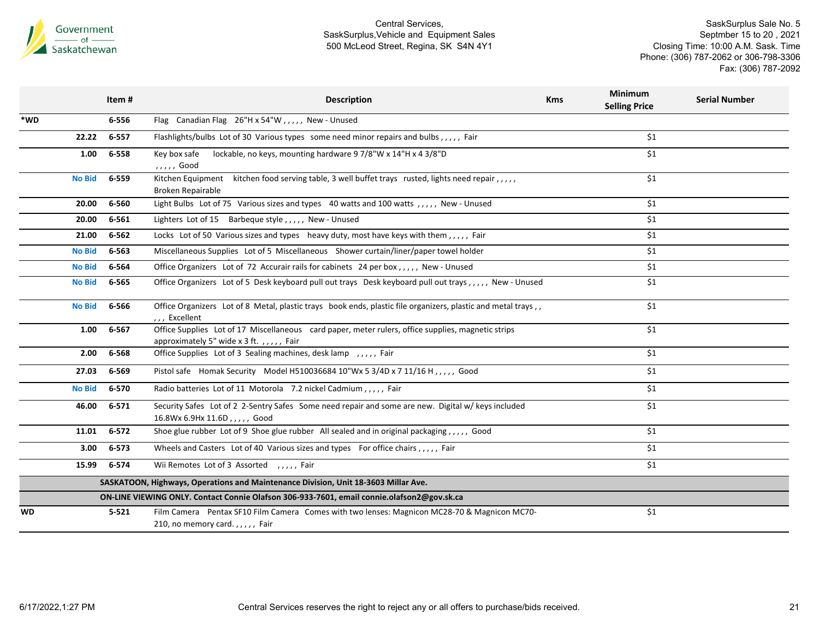

|               | Item#                                                                              | <b>Description</b>                                                                                                                            | <b>Kms</b> | <b>Minimum</b><br><b>Selling Price</b> | <b>Serial Number</b> |  |  |
|---------------|------------------------------------------------------------------------------------|-----------------------------------------------------------------------------------------------------------------------------------------------|------------|----------------------------------------|----------------------|--|--|
| *WD           | 6-556                                                                              | Flag Canadian Flag 26"H x 54"W,,,,, New - Unused                                                                                              |            |                                        |                      |  |  |
| 22.22         | 6-557                                                                              | Flashlights/bulbs Lot of 30 Various types some need minor repairs and bulbs,,,,,, Fair                                                        |            | \$1                                    |                      |  |  |
| 1.00          | 6-558                                                                              | lockable, no keys, mounting hardware 9 7/8"W x 14"H x 4 3/8"D<br>Key box safe<br>,,,,, Good                                                   |            | \$1                                    |                      |  |  |
| <b>No Bid</b> | 6-559                                                                              | Kitchen Equipment<br>kitchen food serving table, 3 well buffet trays rusted, lights need repair,,,,,<br>Broken Repairable                     |            | \$1                                    |                      |  |  |
| 20.00         | 6-560                                                                              | Light Bulbs Lot of 75 Various sizes and types 40 watts and 100 watts,,,,,, New - Unused                                                       |            | \$1                                    |                      |  |  |
| 20.00         | 6-561                                                                              | Lighters Lot of 15 Barbeque style,,,,, New - Unused                                                                                           |            | \$1                                    |                      |  |  |
| 21.00         | 6-562                                                                              | Locks Lot of 50 Various sizes and types heavy duty, most have keys with them,,,,,, Fair                                                       |            | \$1                                    |                      |  |  |
| No Bid        | 6-563                                                                              | Miscellaneous Supplies Lot of 5 Miscellaneous Shower curtain/liner/paper towel holder                                                         |            | \$1                                    |                      |  |  |
| <b>No Bid</b> | 6-564                                                                              | Office Organizers Lot of 72 Accurair rails for cabinets 24 per box,,,,, New - Unused                                                          |            | \$1                                    |                      |  |  |
| <b>No Bid</b> | 6-565                                                                              | Office Organizers Lot of 5 Desk keyboard pull out trays Desk keyboard pull out trays, ,,,,, New - Unused                                      |            | \$1                                    |                      |  |  |
| No Bid        | 6-566                                                                              | Office Organizers Lot of 8 Metal, plastic trays book ends, plastic file organizers, plastic and metal trays,,<br>,,, Excellent                |            | \$1                                    |                      |  |  |
| 1.00          | 6-567                                                                              | Office Supplies Lot of 17 Miscellaneous card paper, meter rulers, office supplies, magnetic strips<br>approximately 5" wide x 3 ft.,,,,, Fair |            | \$1                                    |                      |  |  |
| 2.00          | 6-568                                                                              | Office Supplies Lot of 3 Sealing machines, desk lamp, , Fair                                                                                  |            | \$1                                    |                      |  |  |
| 27.03         | 6-569                                                                              | Pistol safe Homak Security Model H510036684 10"Wx 5 3/4D x 7 11/16 H, ,,,,, Good                                                              |            | \$1                                    |                      |  |  |
| <b>No Bid</b> | 6-570                                                                              | Radio batteries Lot of 11 Motorola 7.2 nickel Cadmium,,,,, Fair                                                                               |            | \$1                                    |                      |  |  |
| 46.00         | $6 - 571$                                                                          | Security Safes Lot of 2 2-Sentry Safes Some need repair and some are new. Digital w/ keys included<br>16.8Wx 6.9Hx 11.6D,,,,, Good            |            | \$1                                    |                      |  |  |
| 11.01         | $6 - 572$                                                                          | Shoe glue rubber Lot of 9 Shoe glue rubber All sealed and in original packaging,,,,, Good                                                     |            | \$1                                    |                      |  |  |
| 3.00          | 6-573                                                                              | Wheels and Casters Lot of 40 Various sizes and types For office chairs,,,,, Fair                                                              |            | \$1                                    |                      |  |  |
| 15.99         | 6-574                                                                              | Wii Remotes Lot of 3 Assorted , , , , , Fair                                                                                                  |            | \$1                                    |                      |  |  |
|               | SASKATOON, Highways, Operations and Maintenance Division, Unit 18-3603 Millar Ave. |                                                                                                                                               |            |                                        |                      |  |  |
|               |                                                                                    | ON-LINE VIEWING ONLY. Contact Connie Olafson 306-933-7601, email connie.olafson2@gov.sk.ca                                                    |            |                                        |                      |  |  |
| <b>WD</b>     | $5 - 521$                                                                          | Film Camera Pentax SF10 Film Camera Comes with two lenses: Magnicon MC28-70 & Magnicon MC70-<br>210, no memory card.,,,,, Fair                |            | \$1                                    |                      |  |  |